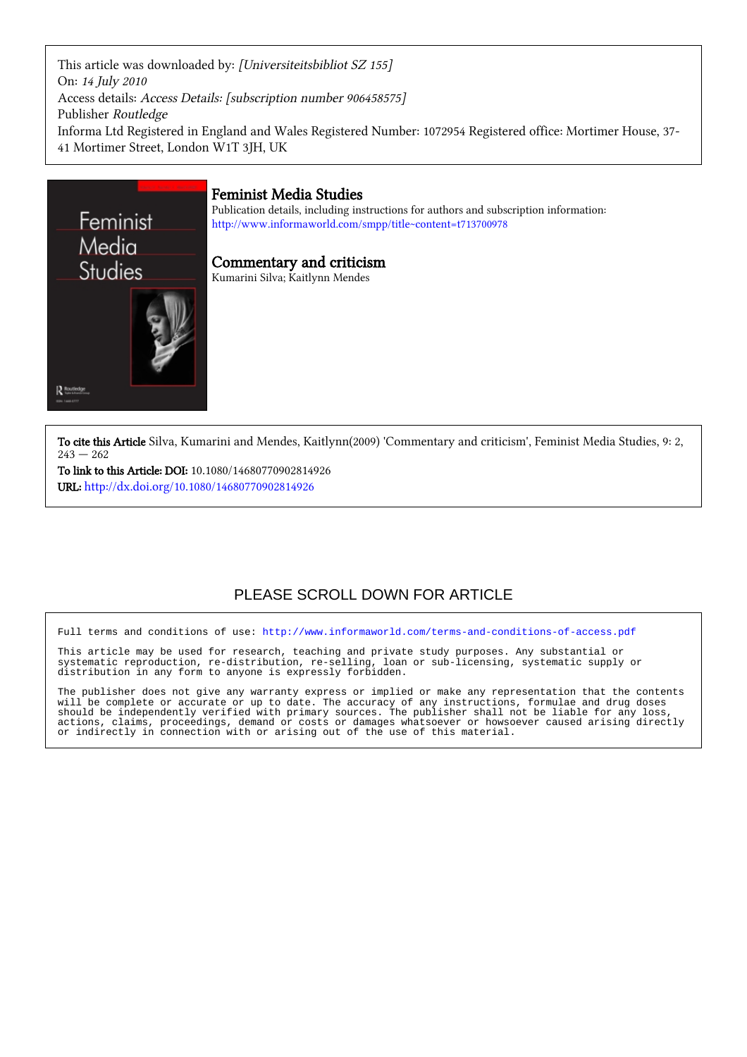This article was downloaded by: [Universiteitsbibliot SZ 155] On: 14 July 2010 Access details: Access Details: [subscription number 906458575] Publisher Routledge Informa Ltd Registered in England and Wales Registered Number: 1072954 Registered office: Mortimer House, 37- 41 Mortimer Street, London W1T 3JH, UK



# Feminist Media Studies

Publication details, including instructions for authors and subscription information: <http://www.informaworld.com/smpp/title~content=t713700978>

Commentary and criticism Kumarini Silva; Kaitlynn Mendes

To cite this Article Silva, Kumarini and Mendes, Kaitlynn(2009) 'Commentary and criticism', Feminist Media Studies, 9: 2,  $243 - 262$ 

To link to this Article: DOI: 10.1080/14680770902814926 URL: <http://dx.doi.org/10.1080/14680770902814926>

# PLEASE SCROLL DOWN FOR ARTICLE

Full terms and conditions of use:<http://www.informaworld.com/terms-and-conditions-of-access.pdf>

This article may be used for research, teaching and private study purposes. Any substantial or systematic reproduction, re-distribution, re-selling, loan or sub-licensing, systematic supply or distribution in any form to anyone is expressly forbidden.

The publisher does not give any warranty express or implied or make any representation that the contents will be complete or accurate or up to date. The accuracy of any instructions, formulae and drug doses should be independently verified with primary sources. The publisher shall not be liable for any loss, actions, claims, proceedings, demand or costs or damages whatsoever or howsoever caused arising directly or indirectly in connection with or arising out of the use of this material.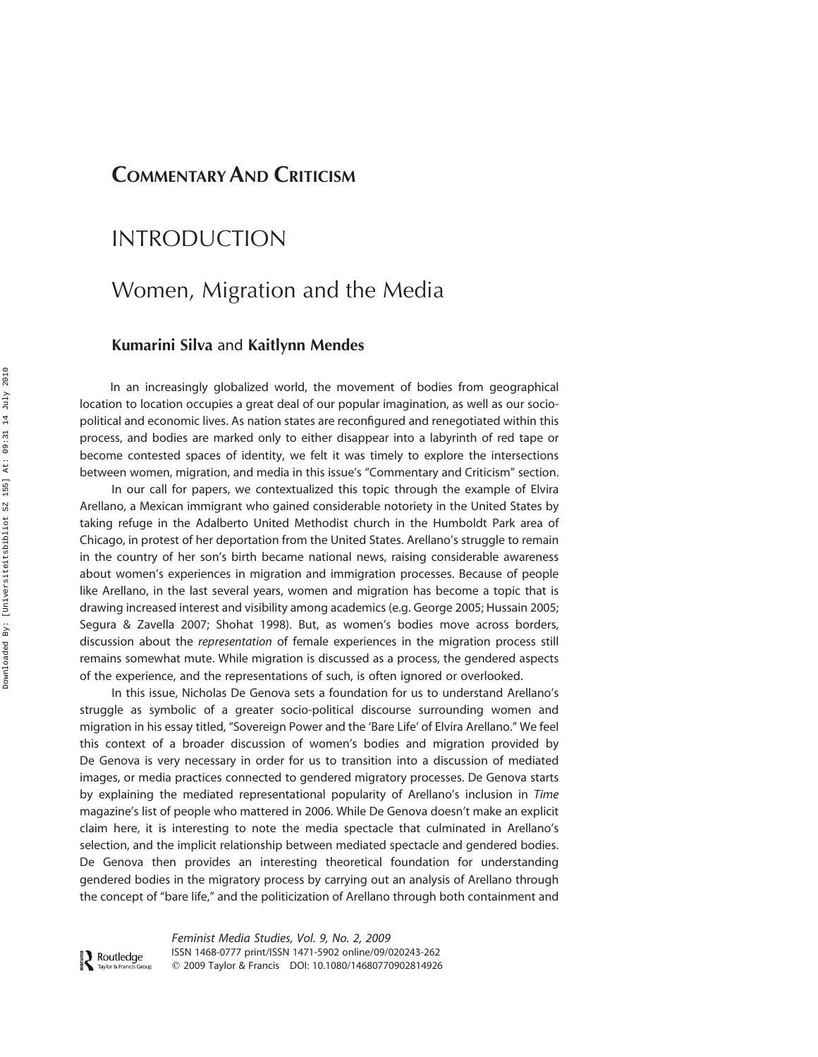# INTRODUCTION

# Women, Migration and the Media

# Kumarini Silva and Kaitlynn Mendes

In an increasingly globalized world, the movement of bodies from geographical location to location occupies a great deal of our popular imagination, as well as our sociopolitical and economic lives. As nation states are reconfigured and renegotiated within this process, and bodies are marked only to either disappear into a labyrinth of red tape or become contested spaces of identity, we felt it was timely to explore the intersections between women, migration, and media in this issue's "Commentary and Criticism" section.

In our call for papers, we contextualized this topic through the example of Elvira Arellano, a Mexican immigrant who gained considerable notoriety in the United States by taking refuge in the Adalberto United Methodist church in the Humboldt Park area of Chicago, in protest of her deportation from the United States. Arellano's struggle to remain in the country of her son's birth became national news, raising considerable awareness about women's experiences in migration and immigration processes. Because of people like Arellano, in the last several years, women and migration has become a topic that is drawing increased interest and visibility among academics (e.g. George 2005; Hussain 2005; Segura & Zavella 2007; Shohat 1998). But, as women's bodies move across borders, discussion about the representation of female experiences in the migration process still remains somewhat mute. While migration is discussed as a process, the gendered aspects of the experience, and the representations of such, is often ignored or overlooked.

In this issue, Nicholas De Genova sets a foundation for us to understand Arellano's struggle as symbolic of a greater socio-political discourse surrounding women and migration in his essay titled, "Sovereign Power and the 'Bare Life' of Elvira Arellano." We feel this context of a broader discussion of women's bodies and migration provided by De Genova is very necessary in order for us to transition into a discussion of mediated images, or media practices connected to gendered migratory processes. De Genova starts by explaining the mediated representational popularity of Arellano's inclusion in Time magazine's list of people who mattered in 2006. While De Genova doesn't make an explicit claim here, it is interesting to note the media spectacle that culminated in Arellano's selection, and the implicit relationship between mediated spectacle and gendered bodies. De Genova then provides an interesting theoretical foundation for understanding gendered bodies in the migratory process by carrying out an analysis of Arellano through the concept of "bare life," and the politicization of Arellano through both containment and

> Feminist Media Studies, Vol. 9, No. 2, 2009 ISSN 1468-0777 print/ISSN 1471-5902 online/09/020243-262 q 2009 Taylor & Francis DOI: 10.1080/14680770902814926

 $\sum_{\text{Taylor & Francis Gre}}$ Taylor & Francis Group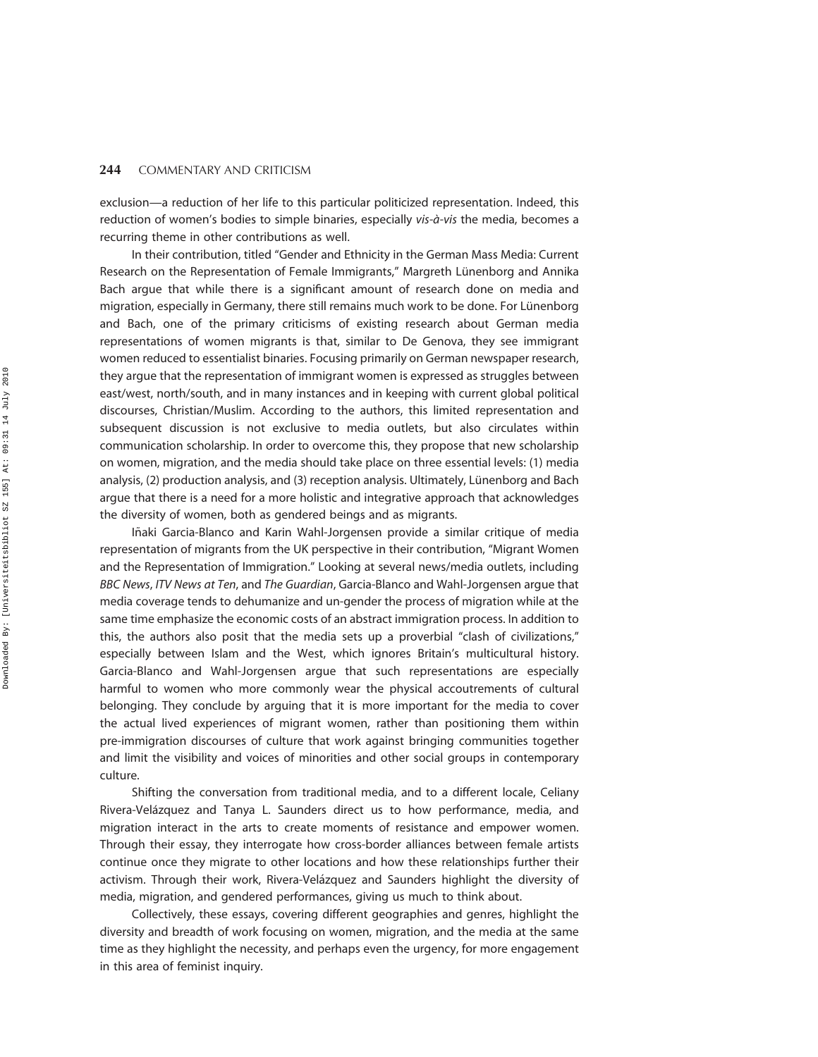exclusion—a reduction of her life to this particular politicized representation. Indeed, this reduction of women's bodies to simple binaries, especially vis-à-vis the media, becomes a recurring theme in other contributions as well.

In their contribution, titled "Gender and Ethnicity in the German Mass Media: Current Research on the Representation of Female Immigrants," Margreth Lünenborg and Annika Bach argue that while there is a significant amount of research done on media and migration, especially in Germany, there still remains much work to be done. For Lünenborg and Bach, one of the primary criticisms of existing research about German media representations of women migrants is that, similar to De Genova, they see immigrant women reduced to essentialist binaries. Focusing primarily on German newspaper research, they argue that the representation of immigrant women is expressed as struggles between east/west, north/south, and in many instances and in keeping with current global political discourses, Christian/Muslim. According to the authors, this limited representation and subsequent discussion is not exclusive to media outlets, but also circulates within communication scholarship. In order to overcome this, they propose that new scholarship on women, migration, and the media should take place on three essential levels: (1) media analysis, (2) production analysis, and (3) reception analysis. Ultimately, Lünenborg and Bach argue that there is a need for a more holistic and integrative approach that acknowledges the diversity of women, both as gendered beings and as migrants.

Iñaki Garcia-Blanco and Karin Wahl-Jorgensen provide a similar critique of media representation of migrants from the UK perspective in their contribution, "Migrant Women and the Representation of Immigration." Looking at several news/media outlets, including BBC News, ITV News at Ten, and The Guardian, Garcia-Blanco and Wahl-Jorgensen argue that media coverage tends to dehumanize and un-gender the process of migration while at the same time emphasize the economic costs of an abstract immigration process. In addition to this, the authors also posit that the media sets up a proverbial "clash of civilizations," especially between Islam and the West, which ignores Britain's multicultural history. Garcia-Blanco and Wahl-Jorgensen argue that such representations are especially harmful to women who more commonly wear the physical accoutrements of cultural belonging. They conclude by arguing that it is more important for the media to cover the actual lived experiences of migrant women, rather than positioning them within pre-immigration discourses of culture that work against bringing communities together and limit the visibility and voices of minorities and other social groups in contemporary culture.

Shifting the conversation from traditional media, and to a different locale, Celiany Rivera-Vela´zquez and Tanya L. Saunders direct us to how performance, media, and migration interact in the arts to create moments of resistance and empower women. Through their essay, they interrogate how cross-border alliances between female artists continue once they migrate to other locations and how these relationships further their activism. Through their work, Rivera-Velázquez and Saunders highlight the diversity of media, migration, and gendered performances, giving us much to think about.

Collectively, these essays, covering different geographies and genres, highlight the diversity and breadth of work focusing on women, migration, and the media at the same time as they highlight the necessity, and perhaps even the urgency, for more engagement in this area of feminist inquiry.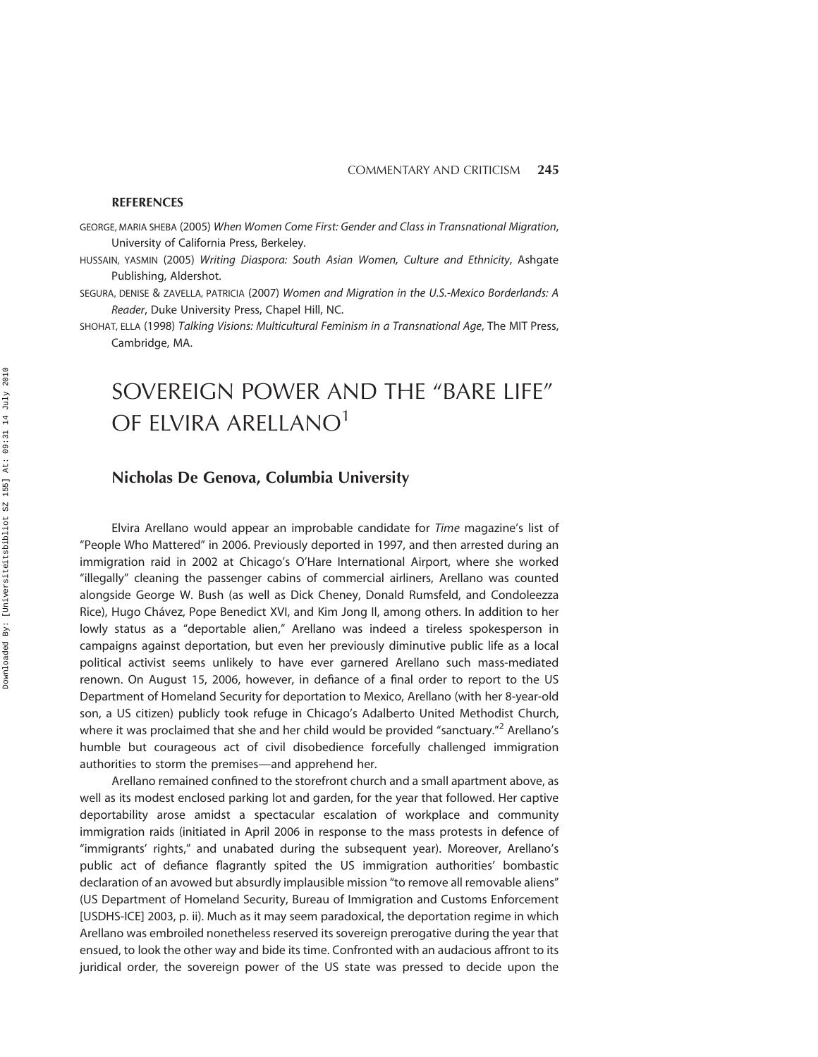## REFERENCES

- GEORGE, MARIA SHEBA (2005) When Women Come First: Gender and Class in Transnational Migration, University of California Press, Berkeley.
- HUSSAIN, YASMIN (2005) Writing Diaspora: South Asian Women, Culture and Ethnicity, Ashgate Publishing, Aldershot.
- SEGURA, DENISE & ZAVELLA, PATRICIA (2007) Women and Migration in the U.S.-Mexico Borderlands: A Reader, Duke University Press, Chapel Hill, NC.
- SHOHAT, ELLA (1998) Talking Visions: Multicultural Feminism in a Transnational Age, The MIT Press, Cambridge, MA.

# SOVEREIGN POWER AND THE "BARE LIFE" OF ELVIRA ARELLANO<sup>1</sup>

# Nicholas De Genova, Columbia University

Elvira Arellano would appear an improbable candidate for Time magazine's list of "People Who Mattered" in 2006. Previously deported in 1997, and then arrested during an immigration raid in 2002 at Chicago's O'Hare International Airport, where she worked "illegally" cleaning the passenger cabins of commercial airliners, Arellano was counted alongside George W. Bush (as well as Dick Cheney, Donald Rumsfeld, and Condoleezza Rice), Hugo Chávez, Pope Benedict XVI, and Kim Jong II, among others. In addition to her lowly status as a "deportable alien," Arellano was indeed a tireless spokesperson in campaigns against deportation, but even her previously diminutive public life as a local political activist seems unlikely to have ever garnered Arellano such mass-mediated renown. On August 15, 2006, however, in defiance of a final order to report to the US Department of Homeland Security for deportation to Mexico, Arellano (with her 8-year-old son, a US citizen) publicly took refuge in Chicago's Adalberto United Methodist Church, where it was proclaimed that she and her child would be provided "sanctuary."<sup>2</sup> Arellano's humble but courageous act of civil disobedience forcefully challenged immigration authorities to storm the premises—and apprehend her.

Arellano remained confined to the storefront church and a small apartment above, as well as its modest enclosed parking lot and garden, for the year that followed. Her captive deportability arose amidst a spectacular escalation of workplace and community immigration raids (initiated in April 2006 in response to the mass protests in defence of "immigrants' rights," and unabated during the subsequent year). Moreover, Arellano's public act of defiance flagrantly spited the US immigration authorities' bombastic declaration of an avowed but absurdly implausible mission "to remove all removable aliens" (US Department of Homeland Security, Bureau of Immigration and Customs Enforcement [USDHS-ICE] 2003, p. ii). Much as it may seem paradoxical, the deportation regime in which Arellano was embroiled nonetheless reserved its sovereign prerogative during the year that ensued, to look the other way and bide its time. Confronted with an audacious affront to its juridical order, the sovereign power of the US state was pressed to decide upon the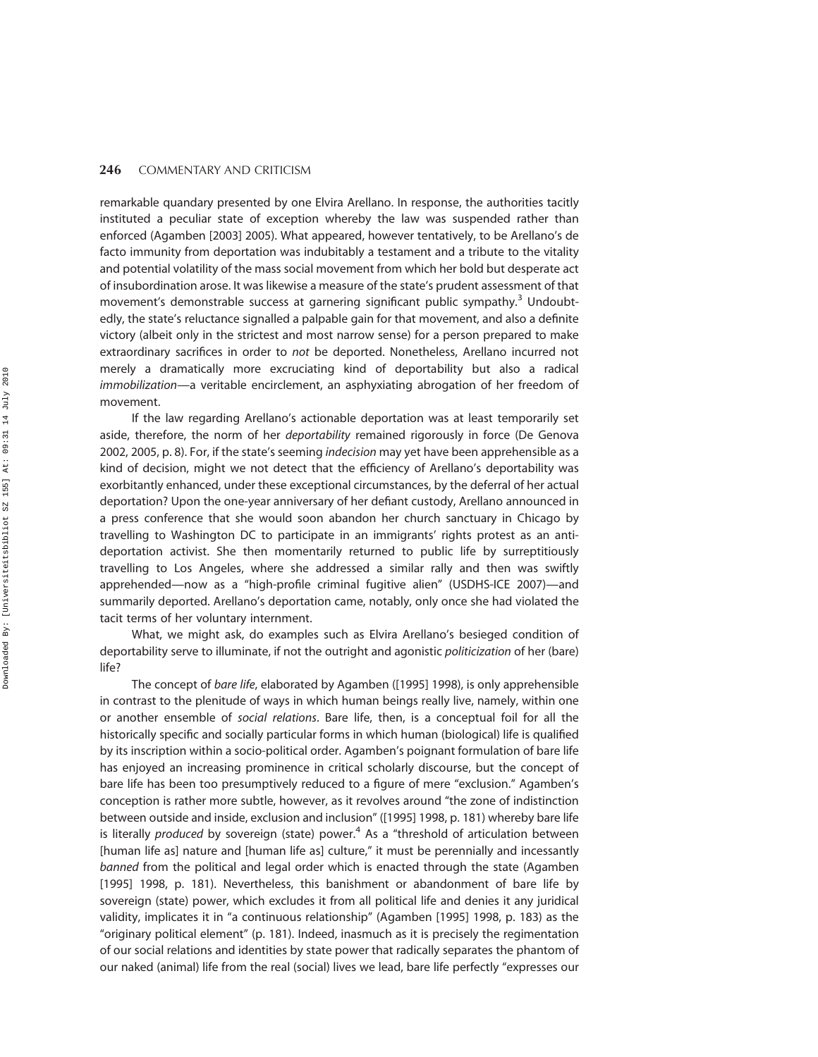remarkable quandary presented by one Elvira Arellano. In response, the authorities tacitly instituted a peculiar state of exception whereby the law was suspended rather than enforced (Agamben [2003] 2005). What appeared, however tentatively, to be Arellano's de facto immunity from deportation was indubitably a testament and a tribute to the vitality and potential volatility of the mass social movement from which her bold but desperate act of insubordination arose. It was likewise a measure of the state's prudent assessment of that movement's demonstrable success at garnering significant public sympathy.<sup>3</sup> Undoubtedly, the state's reluctance signalled a palpable gain for that movement, and also a definite victory (albeit only in the strictest and most narrow sense) for a person prepared to make extraordinary sacrifices in order to not be deported. Nonetheless, Arellano incurred not merely a dramatically more excruciating kind of deportability but also a radical immobilization—a veritable encirclement, an asphyxiating abrogation of her freedom of movement.

If the law regarding Arellano's actionable deportation was at least temporarily set aside, therefore, the norm of her deportability remained rigorously in force (De Genova 2002, 2005, p. 8). For, if the state's seeming *indecision* may yet have been apprehensible as a kind of decision, might we not detect that the efficiency of Arellano's deportability was exorbitantly enhanced, under these exceptional circumstances, by the deferral of her actual deportation? Upon the one-year anniversary of her defiant custody, Arellano announced in a press conference that she would soon abandon her church sanctuary in Chicago by travelling to Washington DC to participate in an immigrants' rights protest as an antideportation activist. She then momentarily returned to public life by surreptitiously travelling to Los Angeles, where she addressed a similar rally and then was swiftly apprehended—now as a "high-profile criminal fugitive alien" (USDHS-ICE 2007)—and summarily deported. Arellano's deportation came, notably, only once she had violated the tacit terms of her voluntary internment.

What, we might ask, do examples such as Elvira Arellano's besieged condition of deportability serve to illuminate, if not the outright and agonistic politicization of her (bare) life?

The concept of bare life, elaborated by Agamben ([1995] 1998), is only apprehensible in contrast to the plenitude of ways in which human beings really live, namely, within one or another ensemble of social relations. Bare life, then, is a conceptual foil for all the historically specific and socially particular forms in which human (biological) life is qualified by its inscription within a socio-political order. Agamben's poignant formulation of bare life has enjoyed an increasing prominence in critical scholarly discourse, but the concept of bare life has been too presumptively reduced to a figure of mere "exclusion." Agamben's conception is rather more subtle, however, as it revolves around "the zone of indistinction between outside and inside, exclusion and inclusion" ([1995] 1998, p. 181) whereby bare life is literally produced by sovereign (state) power.<sup>4</sup> As a "threshold of articulation between [human life as] nature and [human life as] culture," it must be perennially and incessantly banned from the political and legal order which is enacted through the state (Agamben [1995] 1998, p. 181). Nevertheless, this banishment or abandonment of bare life by sovereign (state) power, which excludes it from all political life and denies it any juridical validity, implicates it in "a continuous relationship" (Agamben [1995] 1998, p. 183) as the "originary political element" (p. 181). Indeed, inasmuch as it is precisely the regimentation of our social relations and identities by state power that radically separates the phantom of our naked (animal) life from the real (social) lives we lead, bare life perfectly "expresses our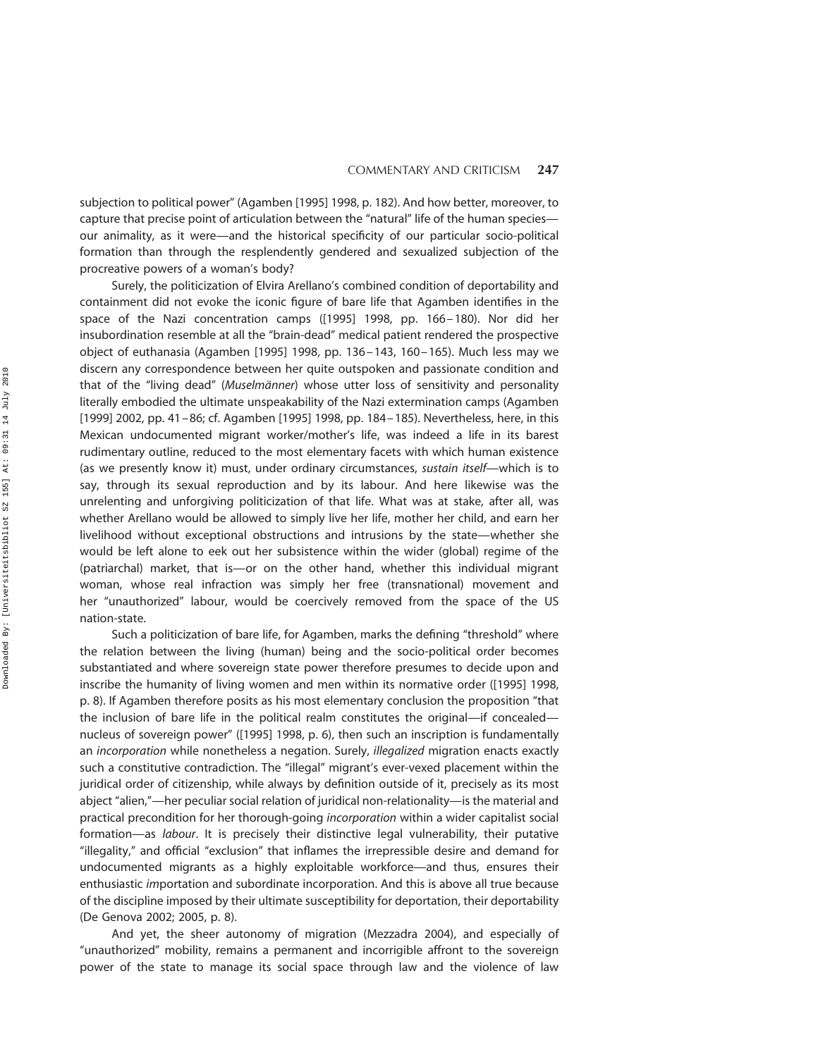subjection to political power" (Agamben [1995] 1998, p. 182). And how better, moreover, to capture that precise point of articulation between the "natural" life of the human species our animality, as it were—and the historical specificity of our particular socio-political formation than through the resplendently gendered and sexualized subjection of the procreative powers of a woman's body?

Surely, the politicization of Elvira Arellano's combined condition of deportability and containment did not evoke the iconic figure of bare life that Agamben identifies in the space of the Nazi concentration camps ([1995] 1998, pp. 166– 180). Nor did her insubordination resemble at all the "brain-dead" medical patient rendered the prospective object of euthanasia (Agamben [1995] 1998, pp. 136 –143, 160–165). Much less may we discern any correspondence between her quite outspoken and passionate condition and that of the "living dead" (Muselmänner) whose utter loss of sensitivity and personality literally embodied the ultimate unspeakability of the Nazi extermination camps (Agamben [1999] 2002, pp. 41–86; cf. Agamben [1995] 1998, pp. 184–185). Nevertheless, here, in this Mexican undocumented migrant worker/mother's life, was indeed a life in its barest rudimentary outline, reduced to the most elementary facets with which human existence (as we presently know it) must, under ordinary circumstances, sustain itself—which is to say, through its sexual reproduction and by its labour. And here likewise was the unrelenting and unforgiving politicization of that life. What was at stake, after all, was whether Arellano would be allowed to simply live her life, mother her child, and earn her livelihood without exceptional obstructions and intrusions by the state—whether she would be left alone to eek out her subsistence within the wider (global) regime of the (patriarchal) market, that is—or on the other hand, whether this individual migrant woman, whose real infraction was simply her free (transnational) movement and her "unauthorized" labour, would be coercively removed from the space of the US nation-state.

Such a politicization of bare life, for Agamben, marks the defining "threshold" where the relation between the living (human) being and the socio-political order becomes substantiated and where sovereign state power therefore presumes to decide upon and inscribe the humanity of living women and men within its normative order ([1995] 1998, p. 8). If Agamben therefore posits as his most elementary conclusion the proposition "that the inclusion of bare life in the political realm constitutes the original—if concealed nucleus of sovereign power" ([1995] 1998, p. 6), then such an inscription is fundamentally an incorporation while nonetheless a negation. Surely, illegalized migration enacts exactly such a constitutive contradiction. The "illegal" migrant's ever-vexed placement within the juridical order of citizenship, while always by definition outside of it, precisely as its most abject "alien,"—her peculiar social relation of juridical non-relationality—is the material and practical precondition for her thorough-going incorporation within a wider capitalist social formation—as labour. It is precisely their distinctive legal vulnerability, their putative "illegality," and official "exclusion" that inflames the irrepressible desire and demand for undocumented migrants as a highly exploitable workforce—and thus, ensures their enthusiastic importation and subordinate incorporation. And this is above all true because of the discipline imposed by their ultimate susceptibility for deportation, their deportability (De Genova 2002; 2005, p. 8).

And yet, the sheer autonomy of migration (Mezzadra 2004), and especially of "unauthorized" mobility, remains a permanent and incorrigible affront to the sovereign power of the state to manage its social space through law and the violence of law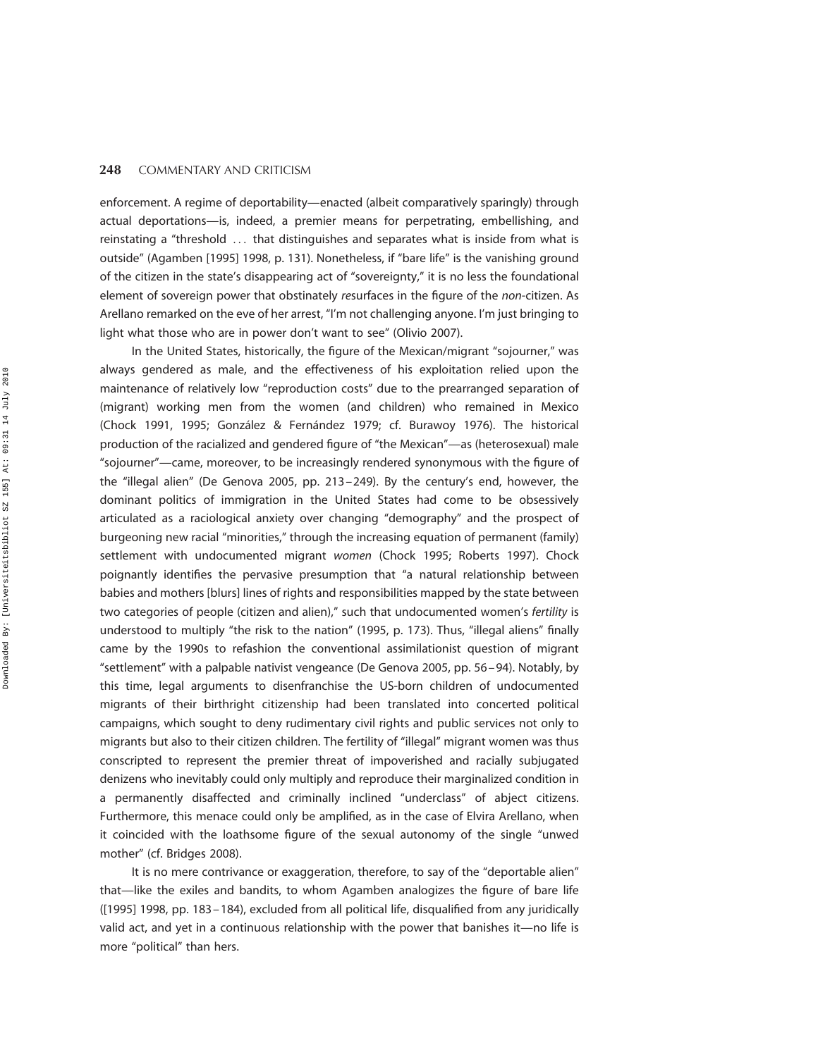enforcement. A regime of deportability—enacted (albeit comparatively sparingly) through actual deportations—is, indeed, a premier means for perpetrating, embellishing, and reinstating a "threshold ... that distinguishes and separates what is inside from what is outside" (Agamben [1995] 1998, p. 131). Nonetheless, if "bare life" is the vanishing ground of the citizen in the state's disappearing act of "sovereignty," it is no less the foundational element of sovereign power that obstinately resurfaces in the figure of the non-citizen. As Arellano remarked on the eve of her arrest, "I'm not challenging anyone. I'm just bringing to light what those who are in power don't want to see" (Olivio 2007).

In the United States, historically, the figure of the Mexican/migrant "sojourner," was always gendered as male, and the effectiveness of his exploitation relied upon the maintenance of relatively low "reproduction costs" due to the prearranged separation of (migrant) working men from the women (and children) who remained in Mexico (Chock 1991, 1995; González & Fernández 1979; cf. Burawoy 1976). The historical production of the racialized and gendered figure of "the Mexican"—as (heterosexual) male "sojourner"—came, moreover, to be increasingly rendered synonymous with the figure of the "illegal alien" (De Genova 2005, pp. 213–249). By the century's end, however, the dominant politics of immigration in the United States had come to be obsessively articulated as a raciological anxiety over changing "demography" and the prospect of burgeoning new racial "minorities," through the increasing equation of permanent (family) settlement with undocumented migrant women (Chock 1995; Roberts 1997). Chock poignantly identifies the pervasive presumption that "a natural relationship between babies and mothers [blurs] lines of rights and responsibilities mapped by the state between two categories of people (citizen and alien)," such that undocumented women's fertility is understood to multiply "the risk to the nation" (1995, p. 173). Thus, "illegal aliens" finally came by the 1990s to refashion the conventional assimilationist question of migrant "settlement" with a palpable nativist vengeance (De Genova 2005, pp. 56–94). Notably, by this time, legal arguments to disenfranchise the US-born children of undocumented migrants of their birthright citizenship had been translated into concerted political campaigns, which sought to deny rudimentary civil rights and public services not only to migrants but also to their citizen children. The fertility of "illegal" migrant women was thus conscripted to represent the premier threat of impoverished and racially subjugated denizens who inevitably could only multiply and reproduce their marginalized condition in a permanently disaffected and criminally inclined "underclass" of abject citizens. Furthermore, this menace could only be amplified, as in the case of Elvira Arellano, when it coincided with the loathsome figure of the sexual autonomy of the single "unwed mother" (cf. Bridges 2008).

It is no mere contrivance or exaggeration, therefore, to say of the "deportable alien" that—like the exiles and bandits, to whom Agamben analogizes the figure of bare life ([1995] 1998, pp. 183–184), excluded from all political life, disqualified from any juridically valid act, and yet in a continuous relationship with the power that banishes it—no life is more "political" than hers.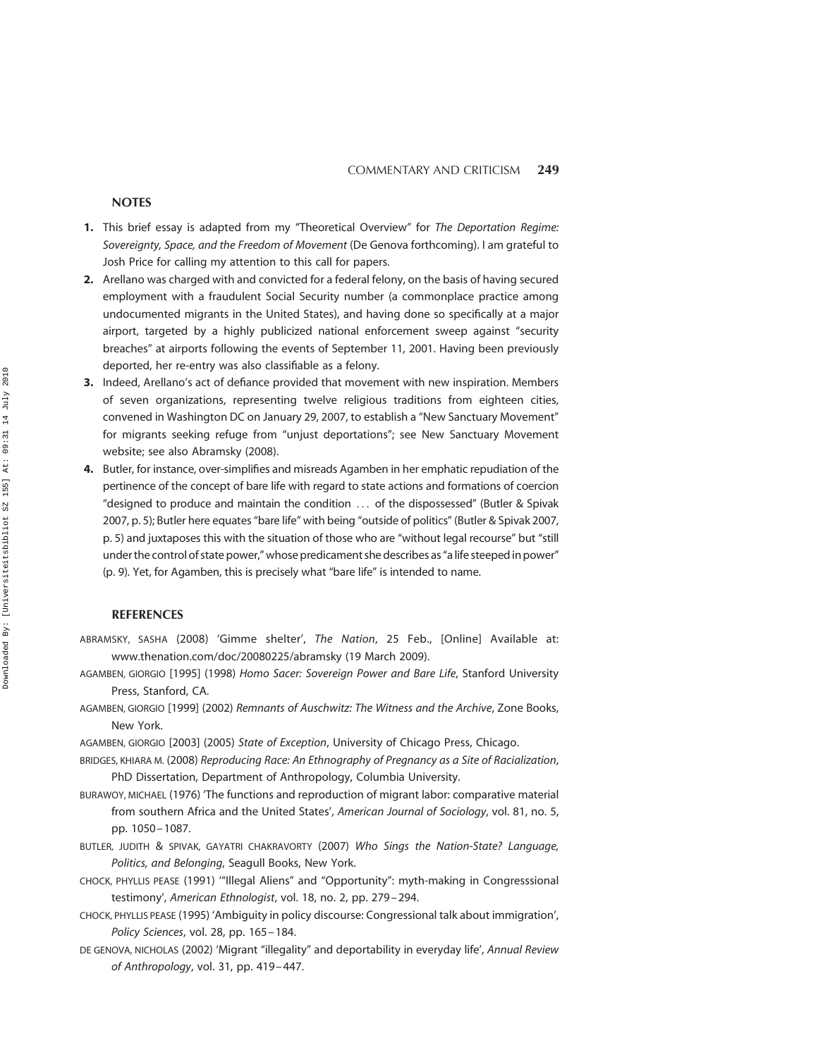## **NOTES**

- 1. This brief essay is adapted from my "Theoretical Overview" for The Deportation Regime: Sovereignty, Space, and the Freedom of Movement (De Genova forthcoming). I am grateful to Josh Price for calling my attention to this call for papers.
- 2. Arellano was charged with and convicted for a federal felony, on the basis of having secured employment with a fraudulent Social Security number (a commonplace practice among undocumented migrants in the United States), and having done so specifically at a major airport, targeted by a highly publicized national enforcement sweep against "security breaches" at airports following the events of September 11, 2001. Having been previously deported, her re-entry was also classifiable as a felony.
- 3. Indeed, Arellano's act of defiance provided that movement with new inspiration. Members of seven organizations, representing twelve religious traditions from eighteen cities, convened in Washington DC on January 29, 2007, to establish a "New Sanctuary Movement" for migrants seeking refuge from "unjust deportations"; see New Sanctuary Movement website; see also Abramsky (2008).
- 4. Butler, for instance, over-simplifies and misreads Agamben in her emphatic repudiation of the pertinence of the concept of bare life with regard to state actions and formations of coercion "designed to produce and maintain the condition ... of the dispossessed" (Butler & Spivak 2007, p. 5); Butler here equates "bare life" with being "outside of politics" (Butler & Spivak 2007, p. 5) and juxtaposes this with the situation of those who are "without legal recourse" but "still under the control of state power," whose predicament she describes as "a life steeped in power" (p. 9). Yet, for Agamben, this is precisely what "bare life" is intended to name.

# **REFERENCES**

- ABRAMSKY, SASHA (2008) 'Gimme shelter', The Nation, 25 Feb., [Online] Available at: www.thenation.com/doc/20080225/abramsky (19 March 2009).
- AGAMBEN, GIORGIO [1995] (1998) Homo Sacer: Sovereign Power and Bare Life, Stanford University Press, Stanford, CA.
- AGAMBEN, GIORGIO [1999] (2002) Remnants of Auschwitz: The Witness and the Archive, Zone Books, New York.
- AGAMBEN, GIORGIO [2003] (2005) State of Exception, University of Chicago Press, Chicago.
- BRIDGES, KHIARA M. (2008) Reproducing Race: An Ethnography of Pregnancy as a Site of Racialization, PhD Dissertation, Department of Anthropology, Columbia University.
- BURAWOY, MICHAEL (1976) 'The functions and reproduction of migrant labor: comparative material from southern Africa and the United States', American Journal of Sociology, vol. 81, no. 5, pp. 1050–1087.
- BUTLER, JUDITH & SPIVAK, GAYATRI CHAKRAVORTY (2007) Who Sings the Nation-State? Language, Politics, and Belonging, Seagull Books, New York.
- CHOCK, PHYLLIS PEASE (1991) '"Illegal Aliens" and "Opportunity": myth-making in Congresssional testimony', American Ethnologist, vol. 18, no. 2, pp. 279–294.
- CHOCK, PHYLLIS PEASE (1995) 'Ambiguity in policy discourse: Congressional talk about immigration', Policy Sciences, vol. 28, pp. 165–184.
- DE GENOVA, NICHOLAS (2002) 'Migrant "illegality" and deportability in everyday life', Annual Review of Anthropology, vol. 31, pp. 419–447.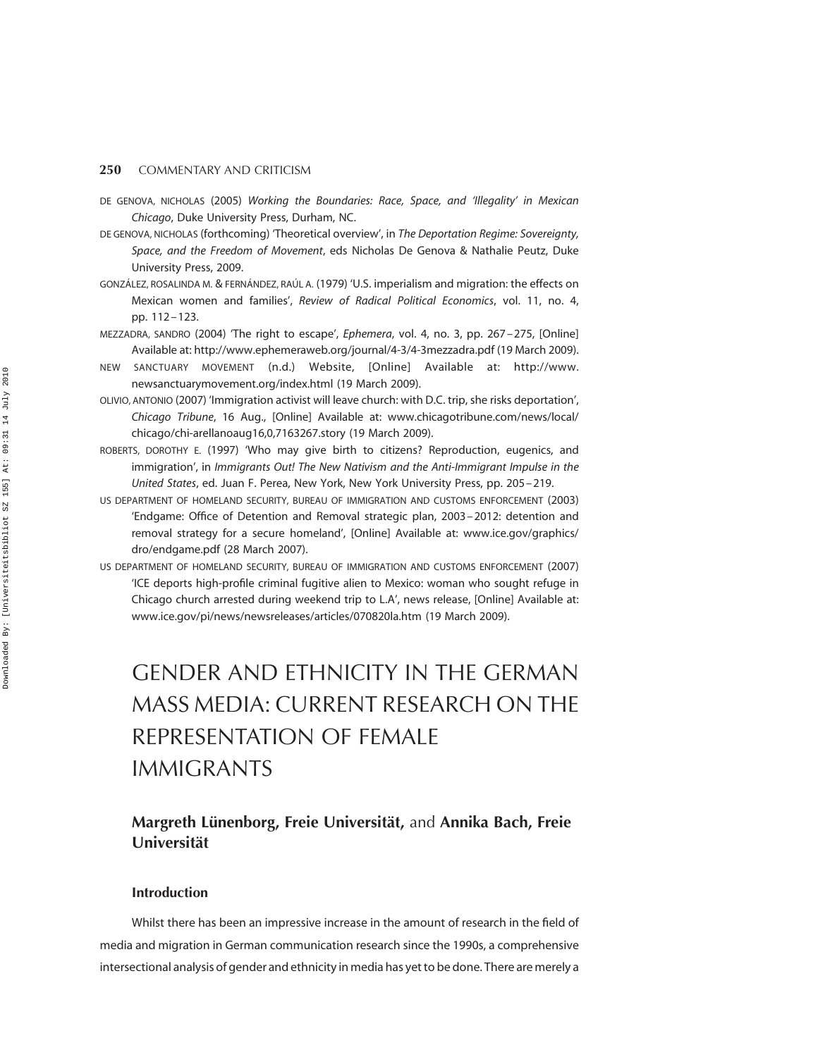- DE GENOVA, NICHOLAS (2005) Working the Boundaries: Race, Space, and 'Illegality' in Mexican Chicago, Duke University Press, Durham, NC.
- DE GENOVA, NICHOLAS (forthcoming) 'Theoretical overview', in The Deportation Regime: Sovereignty, Space, and the Freedom of Movement, eds Nicholas De Genova & Nathalie Peutz, Duke University Press, 2009.
- GONZÁLEZ, ROSALINDA M. & FERNÁNDEZ, RAÚL A. (1979) 'U.S. imperialism and migration: the effects on Mexican women and families', Review of Radical Political Economics, vol. 11, no. 4, pp. 112–123.
- MEZZADRA, SANDRO (2004) 'The right to escape', Ephemera, vol. 4, no. 3, pp. 267–275, [Online] Available at: http://www.ephemeraweb.org/journal/4-3/4-3mezzadra.pdf (19 March 2009).
- NEW SANCTUARY MOVEMENT (n.d.) Website, [Online] Available at: http://www. newsanctuarymovement.org/index.html (19 March 2009).
- OLIVIO, ANTONIO (2007) 'Immigration activist will leave church: with D.C. trip, she risks deportation', Chicago Tribune, 16 Aug., [Online] Available at: www.chicagotribune.com/news/local/ chicago/chi-arellanoaug16,0,7163267.story (19 March 2009).
- ROBERTS, DOROTHY E. (1997) 'Who may give birth to citizens? Reproduction, eugenics, and immigration', in Immigrants Out! The New Nativism and the Anti-Immigrant Impulse in the United States, ed. Juan F. Perea, New York, New York University Press, pp. 205–219.
- US DEPARTMENT OF HOMELAND SECURITY, BUREAU OF IMMIGRATION AND CUSTOMS ENFORCEMENT (2003) 'Endgame: Office of Detention and Removal strategic plan, 2003–2012: detention and removal strategy for a secure homeland', [Online] Available at: www.ice.gov/graphics/ dro/endgame.pdf (28 March 2007).
- US DEPARTMENT OF HOMELAND SECURITY, BUREAU OF IMMIGRATION AND CUSTOMS ENFORCEMENT (2007) 'ICE deports high-profile criminal fugitive alien to Mexico: woman who sought refuge in Chicago church arrested during weekend trip to L.A', news release, [Online] Available at: www.ice.gov/pi/news/newsreleases/articles/070820la.htm (19 March 2009).

# GENDER AND ETHNICITY IN THE GERMAN MASS MEDIA: CURRENT RESEARCH ON THE REPRESENTATION OF FEMALE IMMIGRANTS

# Margreth Lünenborg, Freie Universität, and Annika Bach, Freie Universität

# Introduction

Whilst there has been an impressive increase in the amount of research in the field of media and migration in German communication research since the 1990s, a comprehensive intersectional analysis of gender and ethnicity in media has yet to be done. There are merely a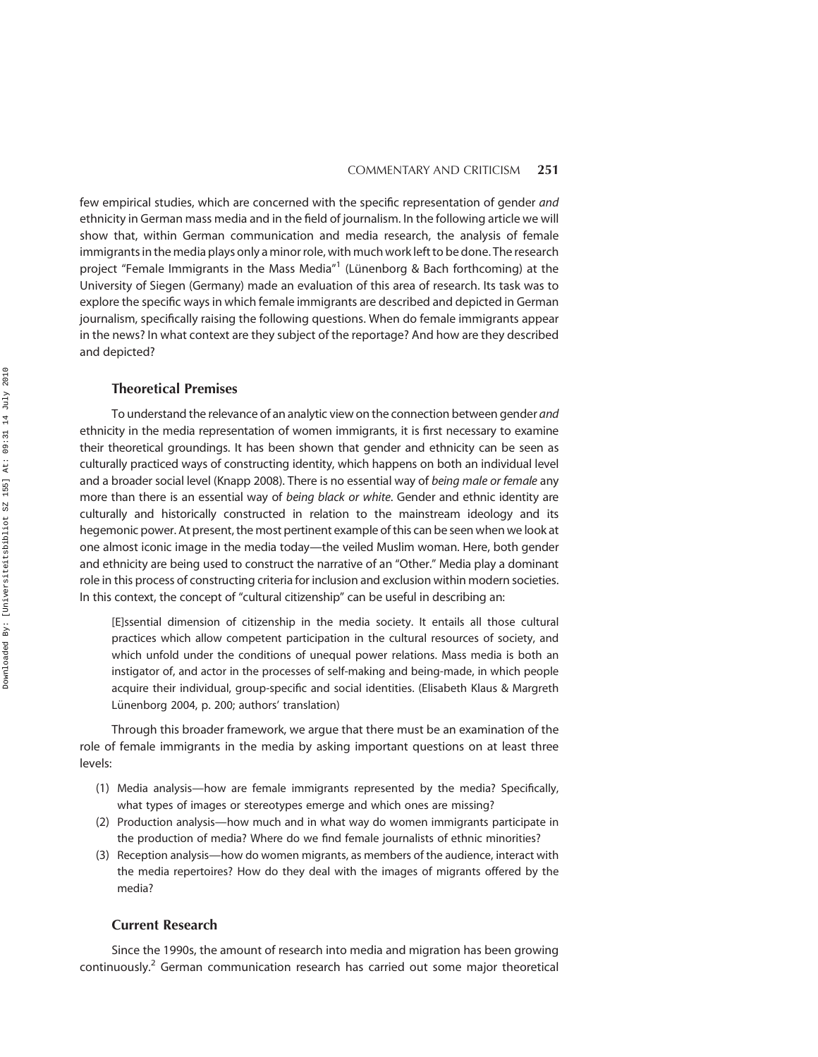few empirical studies, which are concerned with the specific representation of gender and ethnicity in German mass media and in the field of journalism. In the following article we will show that, within German communication and media research, the analysis of female immigrants in the media plays only a minor role, with much work left to be done. The research project "Female Immigrants in the Mass Media" $1$  (Lünenborg & Bach forthcoming) at the University of Siegen (Germany) made an evaluation of this area of research. Its task was to explore the specific ways in which female immigrants are described and depicted in German journalism, specifically raising the following questions. When do female immigrants appear in the news? In what context are they subject of the reportage? And how are they described and depicted?

# Theoretical Premises

To understand the relevance of an analytic view on the connection between gender and ethnicity in the media representation of women immigrants, it is first necessary to examine their theoretical groundings. It has been shown that gender and ethnicity can be seen as culturally practiced ways of constructing identity, which happens on both an individual level and a broader social level (Knapp 2008). There is no essential way of being male or female any more than there is an essential way of being black or white. Gender and ethnic identity are culturally and historically constructed in relation to the mainstream ideology and its hegemonic power. At present, the most pertinent example of this can be seen when we look at one almost iconic image in the media today—the veiled Muslim woman. Here, both gender and ethnicity are being used to construct the narrative of an "Other." Media play a dominant role in this process of constructing criteria for inclusion and exclusion within modern societies. In this context, the concept of "cultural citizenship" can be useful in describing an:

[E]ssential dimension of citizenship in the media society. It entails all those cultural practices which allow competent participation in the cultural resources of society, and which unfold under the conditions of unequal power relations. Mass media is both an instigator of, and actor in the processes of self-making and being-made, in which people acquire their individual, group-specific and social identities. (Elisabeth Klaus & Margreth Lünenborg 2004, p. 200; authors' translation)

Through this broader framework, we argue that there must be an examination of the role of female immigrants in the media by asking important questions on at least three levels:

- (1) Media analysis—how are female immigrants represented by the media? Specifically, what types of images or stereotypes emerge and which ones are missing?
- (2) Production analysis—how much and in what way do women immigrants participate in the production of media? Where do we find female journalists of ethnic minorities?
- (3) Reception analysis—how do women migrants, as members of the audience, interact with the media repertoires? How do they deal with the images of migrants offered by the media?

# Current Research

Since the 1990s, the amount of research into media and migration has been growing continuously.<sup>2</sup> German communication research has carried out some major theoretical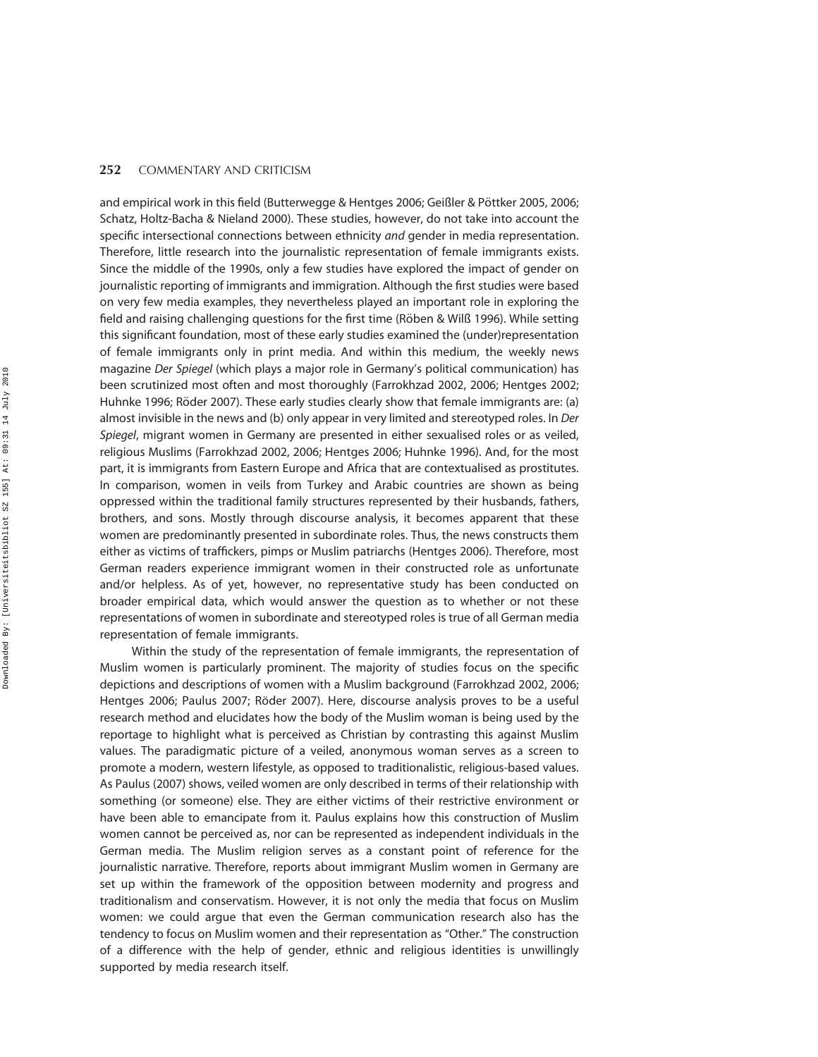and empirical work in this field (Butterwegge & Hentges 2006; Geißler & Pöttker 2005, 2006; Schatz, Holtz-Bacha & Nieland 2000). These studies, however, do not take into account the specific intersectional connections between ethnicity and gender in media representation. Therefore, little research into the journalistic representation of female immigrants exists. Since the middle of the 1990s, only a few studies have explored the impact of gender on journalistic reporting of immigrants and immigration. Although the first studies were based on very few media examples, they nevertheless played an important role in exploring the field and raising challenging questions for the first time (Röben & Wilß 1996). While setting this significant foundation, most of these early studies examined the (under)representation of female immigrants only in print media. And within this medium, the weekly news magazine Der Spiegel (which plays a major role in Germany's political communication) has been scrutinized most often and most thoroughly (Farrokhzad 2002, 2006; Hentges 2002; Huhnke 1996; Röder 2007). These early studies clearly show that female immigrants are: (a) almost invisible in the news and (b) only appear in very limited and stereotyped roles. In Der Spiegel, migrant women in Germany are presented in either sexualised roles or as veiled, religious Muslims (Farrokhzad 2002, 2006; Hentges 2006; Huhnke 1996). And, for the most part, it is immigrants from Eastern Europe and Africa that are contextualised as prostitutes. In comparison, women in veils from Turkey and Arabic countries are shown as being oppressed within the traditional family structures represented by their husbands, fathers, brothers, and sons. Mostly through discourse analysis, it becomes apparent that these women are predominantly presented in subordinate roles. Thus, the news constructs them either as victims of traffickers, pimps or Muslim patriarchs (Hentges 2006). Therefore, most German readers experience immigrant women in their constructed role as unfortunate and/or helpless. As of yet, however, no representative study has been conducted on broader empirical data, which would answer the question as to whether or not these representations of women in subordinate and stereotyped roles is true of all German media representation of female immigrants.

Within the study of the representation of female immigrants, the representation of Muslim women is particularly prominent. The majority of studies focus on the specific depictions and descriptions of women with a Muslim background (Farrokhzad 2002, 2006; Hentges 2006; Paulus 2007; Röder 2007). Here, discourse analysis proves to be a useful research method and elucidates how the body of the Muslim woman is being used by the reportage to highlight what is perceived as Christian by contrasting this against Muslim values. The paradigmatic picture of a veiled, anonymous woman serves as a screen to promote a modern, western lifestyle, as opposed to traditionalistic, religious-based values. As Paulus (2007) shows, veiled women are only described in terms of their relationship with something (or someone) else. They are either victims of their restrictive environment or have been able to emancipate from it. Paulus explains how this construction of Muslim women cannot be perceived as, nor can be represented as independent individuals in the German media. The Muslim religion serves as a constant point of reference for the journalistic narrative. Therefore, reports about immigrant Muslim women in Germany are set up within the framework of the opposition between modernity and progress and traditionalism and conservatism. However, it is not only the media that focus on Muslim women: we could argue that even the German communication research also has the tendency to focus on Muslim women and their representation as "Other." The construction of a difference with the help of gender, ethnic and religious identities is unwillingly supported by media research itself.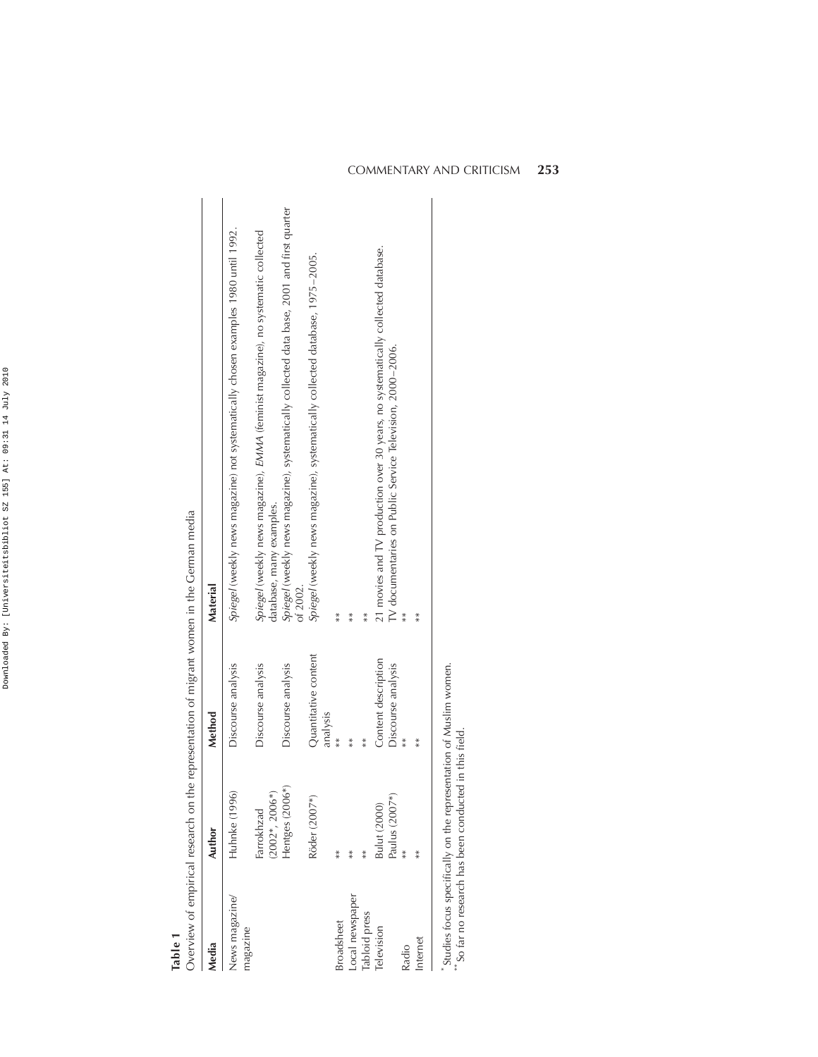| ׇ֚֘<br>֬֕֕                        |
|-----------------------------------|
| ׇ֚֘<br>֕                          |
| l<br>֠                            |
| $\frac{1}{2}$<br>۱<br>١<br>ć<br>ś |
| j<br>)<br>1<br>ť                  |
| Ì<br>L<br>ì<br>ׇ֚֘                |
| 5<br>J                            |
| ֦<br>֠<br>֠<br>ı<br>֦             |
| í<br>l                            |
| I<br>֠                            |

Table 1<br>Overview of empirical research on the representation of migrant women in the German media Overview of empirical research on the representation of migrant women in the German media

|                            |                                                                                                                              | Overview of empirical research on the representation of migrant women in the German media |                                                                                                                                               |
|----------------------------|------------------------------------------------------------------------------------------------------------------------------|-------------------------------------------------------------------------------------------|-----------------------------------------------------------------------------------------------------------------------------------------------|
| Media                      | Author                                                                                                                       | Method                                                                                    | Material                                                                                                                                      |
| News magazine/<br>magazine | Huhnke (1996)                                                                                                                | Discourse analysis                                                                        | Spiegel (weekly news magazine) not systematically chosen examples 1980 until 1992.                                                            |
|                            | $(2002*, 2006*)$<br>Farrokhzad                                                                                               | Discourse analysis                                                                        | Spiege/ (weekly news magazine), EMMA (feminist magazine), no systematic collected<br>database, many examples.                                 |
|                            | Hentges (2006*)                                                                                                              | Discourse analysis                                                                        | Spiege/ (weekly news magazine), systematically collected data base, 2001 and first quarter<br>of 2002.                                        |
|                            | Röder (2007*)                                                                                                                | Quantitative content<br>analysis                                                          | Spiegel (weekly news magazine), systematically collected database, 1975-2005.                                                                 |
| <b>Broadsheet</b>          |                                                                                                                              |                                                                                           | $*$                                                                                                                                           |
| Local newspaper            |                                                                                                                              | $* *$                                                                                     | $*$                                                                                                                                           |
| Tabloid press              |                                                                                                                              | $* \ast$                                                                                  | $* *$                                                                                                                                         |
| Television                 | Paulus (2007*)<br><b>Bulut</b> (2000)                                                                                        | Content description<br>Discourse analysis                                                 | 21 movies and TV production over 30 years, no systematically collected database.<br>TV documentaries on Public Service Television, 2000-2006. |
| Radio                      |                                                                                                                              | $* \ast$                                                                                  |                                                                                                                                               |
| Internet                   |                                                                                                                              | $* *$                                                                                     | $**$                                                                                                                                          |
|                            | Studies focus specifically on the representation of Muslim women.<br>** So far no research has been conducted in this field. |                                                                                           |                                                                                                                                               |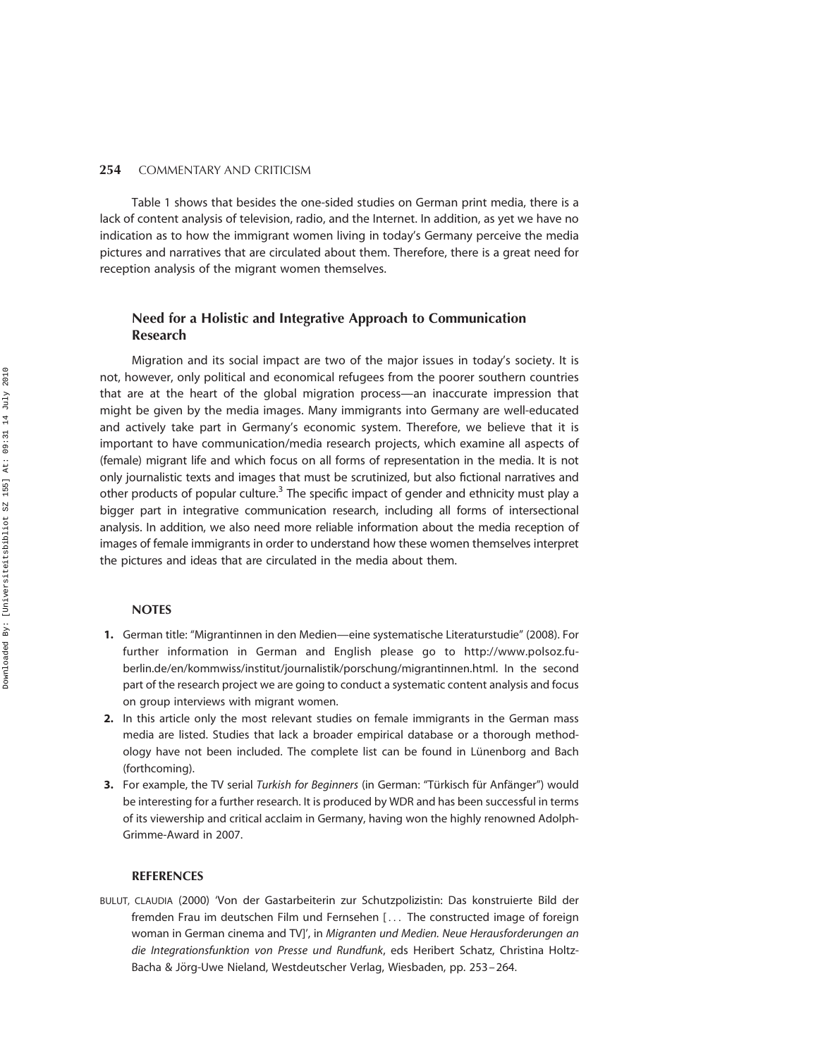Table 1 shows that besides the one-sided studies on German print media, there is a lack of content analysis of television, radio, and the Internet. In addition, as yet we have no indication as to how the immigrant women living in today's Germany perceive the media pictures and narratives that are circulated about them. Therefore, there is a great need for reception analysis of the migrant women themselves.

# Need for a Holistic and Integrative Approach to Communication Research

Migration and its social impact are two of the major issues in today's society. It is not, however, only political and economical refugees from the poorer southern countries that are at the heart of the global migration process—an inaccurate impression that might be given by the media images. Many immigrants into Germany are well-educated and actively take part in Germany's economic system. Therefore, we believe that it is important to have communication/media research projects, which examine all aspects of (female) migrant life and which focus on all forms of representation in the media. It is not only journalistic texts and images that must be scrutinized, but also fictional narratives and other products of popular culture.<sup>3</sup> The specific impact of gender and ethnicity must play a bigger part in integrative communication research, including all forms of intersectional analysis. In addition, we also need more reliable information about the media reception of images of female immigrants in order to understand how these women themselves interpret the pictures and ideas that are circulated in the media about them.

# **NOTES**

- 1. German title: "Migrantinnen in den Medien—eine systematische Literaturstudie" (2008). For further information in German and English please go to http://www.polsoz.fuberlin.de/en/kommwiss/institut/journalistik/porschung/migrantinnen.html. In the second part of the research project we are going to conduct a systematic content analysis and focus on group interviews with migrant women.
- 2. In this article only the most relevant studies on female immigrants in the German mass media are listed. Studies that lack a broader empirical database or a thorough methodology have not been included. The complete list can be found in Lünenborg and Bach (forthcoming).
- 3. For example, the TV serial Turkish for Beginners (in German: "Türkisch für Anfänger") would be interesting for a further research. It is produced by WDR and has been successful in terms of its viewership and critical acclaim in Germany, having won the highly renowned Adolph-Grimme-Award in 2007.

### REFERENCES

BULUT, CLAUDIA (2000) 'Von der Gastarbeiterin zur Schutzpolizistin: Das konstruierte Bild der fremden Frau im deutschen Film und Fernsehen [ ... The constructed image of foreign woman in German cinema and TV]', in Migranten und Medien. Neue Herausforderungen an die Integrationsfunktion von Presse und Rundfunk, eds Heribert Schatz, Christina Holtz-Bacha & Jörg-Uwe Nieland, Westdeutscher Verlag, Wiesbaden, pp. 253-264.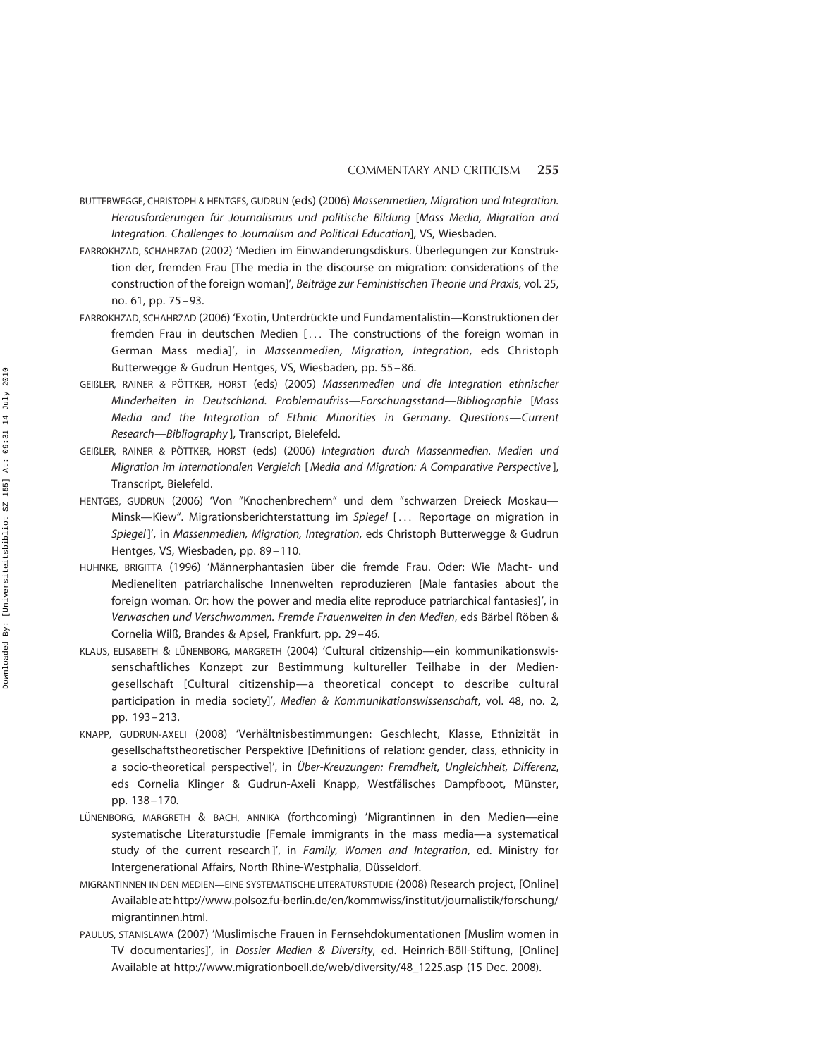- BUTTERWEGGE, CHRISTOPH & HENTGES, GUDRUN (eds) (2006) Massenmedien, Migration und Integration. Herausforderungen für Journalismus und politische Bildung [Mass Media, Migration and Integration. Challenges to Journalism and Political Education], VS, Wiesbaden.
- FARROKHZAD, SCHAHRZAD (2002) 'Medien im Einwanderungsdiskurs. Überlegungen zur Konstruktion der, fremden Frau [The media in the discourse on migration: considerations of the construction of the foreign woman]', Beiträge zur Feministischen Theorie und Praxis, vol. 25, no. 61, pp. 75 –93.
- FARROKHZAD, SCHAHRZAD (2006) 'Exotin, Unterdrückte und Fundamentalistin-Konstruktionen der fremden Frau in deutschen Medien [ ... The constructions of the foreign woman in German Mass media]', in Massenmedien, Migration, Integration, eds Christoph Butterwegge & Gudrun Hentges, VS, Wiesbaden, pp. 55–86.
- GEIBLER, RAINER & PÖTTKER, HORST (eds) (2005) Massenmedien und die Integration ethnischer Minderheiten in Deutschland. Problemaufriss—Forschungsstand—Bibliographie [Mass Media and the Integration of Ethnic Minorities in Germany. Questions—Current Research—Bibliography ], Transcript, Bielefeld.
- GEIBLER, RAINER & PÖTTKER, HORST (eds) (2006) Integration durch Massenmedien. Medien und Migration im internationalen Vergleich [ Media and Migration: A Comparative Perspective ], Transcript, Bielefeld.
- HENTGES, GUDRUN (2006) 'Von "Knochenbrechern" und dem "schwarzen Dreieck Moskau— Minsk—Kiew". Migrationsberichterstattung im Spiegel [... Reportage on migration in Spiegel]', in Massenmedien, Migration, Integration, eds Christoph Butterwegge & Gudrun Hentges, VS, Wiesbaden, pp. 89–110.
- HUHNKE, BRIGITTA (1996) 'Männerphantasien über die fremde Frau. Oder: Wie Macht- und Medieneliten patriarchalische Innenwelten reproduzieren [Male fantasies about the foreign woman. Or: how the power and media elite reproduce patriarchical fantasies]', in Verwaschen und Verschwommen. Fremde Frauenwelten in den Medien, eds Bärbel Röben & Cornelia Wilß, Brandes & Apsel, Frankfurt, pp. 29–46.
- KLAUS, ELISABETH & LÜNENBORG, MARGRETH (2004) 'Cultural citizenship—ein kommunikationswissenschaftliches Konzept zur Bestimmung kultureller Teilhabe in der Mediengesellschaft [Cultural citizenship—a theoretical concept to describe cultural participation in media society]', Medien & Kommunikationswissenschaft, vol. 48, no. 2, pp. 193–213.
- KNAPP, GUDRUN-AXELI (2008) 'Verhältnisbestimmungen: Geschlecht, Klasse, Ethnizität in gesellschaftstheoretischer Perspektive [Definitions of relation: gender, class, ethnicity in a socio-theoretical perspective]', in Über-Kreuzungen: Fremdheit, Ungleichheit, Differenz, eds Cornelia Klinger & Gudrun-Axeli Knapp, Westfälisches Dampfboot, Münster, pp. 138–170.
- LÜNENBORG, MARGRETH & BACH, ANNIKA (forthcoming) 'Migrantinnen in den Medien-eine systematische Literaturstudie [Female immigrants in the mass media—a systematical study of the current research]', in Family, Women and Integration, ed. Ministry for Intergenerational Affairs, North Rhine-Westphalia, Düsseldorf.
- MIGRANTINNEN IN DEN MEDIEN—EINE SYSTEMATISCHE LITERATURSTUDIE (2008) Research project, [Online] Available at: http://www.polsoz.fu-berlin.de/en/kommwiss/institut/journalistik/forschung/ migrantinnen.html.
- PAULUS, STANISLAWA (2007) 'Muslimische Frauen in Fernsehdokumentationen [Muslim women in TV documentaries]', in Dossier Medien & Diversity, ed. Heinrich-Böll-Stiftung, [Online] Available at http://www.migrationboell.de/web/diversity/48\_1225.asp (15 Dec. 2008).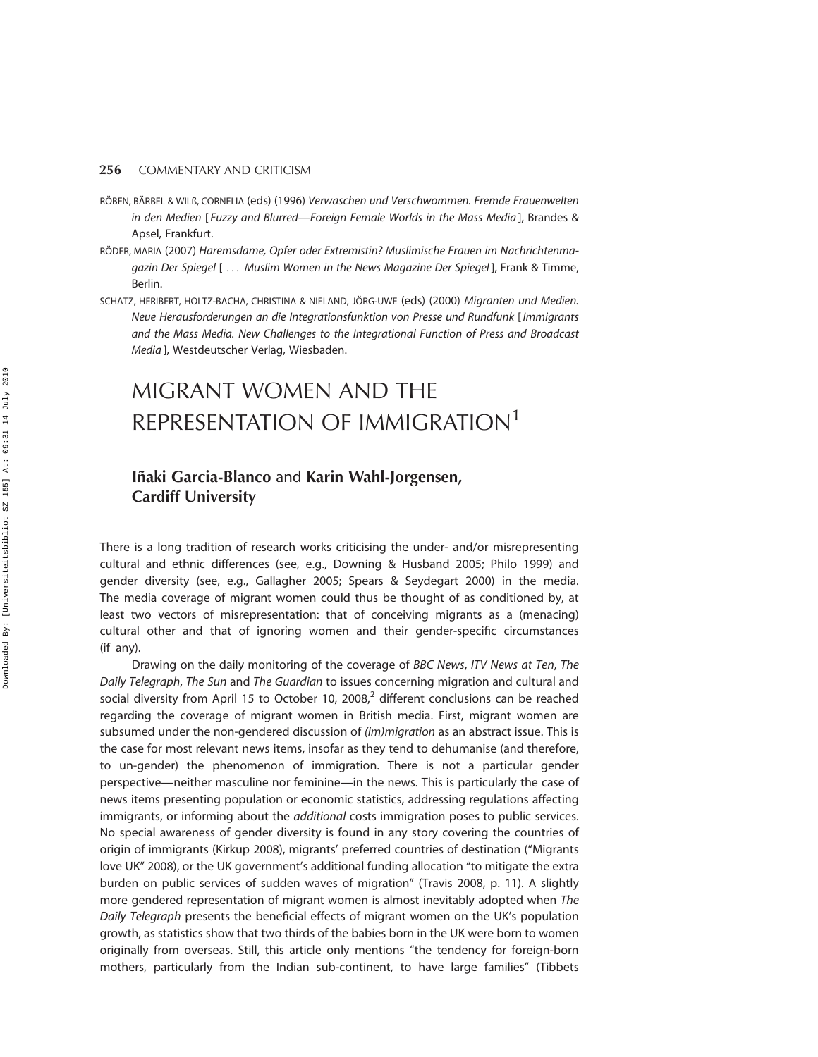- RÖBEN, BÄRBEL & WILB, CORNELIA (eds) (1996) Verwaschen und Verschwommen. Fremde Frauenwelten in den Medien [ Fuzzy and Blurred—Foreign Female Worlds in the Mass Media ], Brandes & Apsel, Frankfurt.
- RÖDER, MARIA (2007) Haremsdame, Opfer oder Extremistin? Muslimische Frauen im Nachrichtenmagazin Der Spiegel [ ... Muslim Women in the News Magazine Der Spiegel ], Frank & Timme, Berlin.
- SCHATZ, HERIBERT, HOLTZ-BACHA, CHRISTINA & NIELAND, JÖRG-UWE (eds) (2000) Migranten und Medien. Neue Herausforderungen an die Integrationsfunktion von Presse und Rundfunk [ Immigrants and the Mass Media. New Challenges to the Integrational Function of Press and Broadcast Media ], Westdeutscher Verlag, Wiesbaden.

# MIGRANT WOMEN AND THE REPRESENTATION OF IMMIGRATION<sup>1</sup>

# Iñaki Garcia-Blanco and Karin Wahl-Jorgensen, Cardiff University

There is a long tradition of research works criticising the under- and/or misrepresenting cultural and ethnic differences (see, e.g., Downing & Husband 2005; Philo 1999) and gender diversity (see, e.g., Gallagher 2005; Spears & Seydegart 2000) in the media. The media coverage of migrant women could thus be thought of as conditioned by, at least two vectors of misrepresentation: that of conceiving migrants as a (menacing) cultural other and that of ignoring women and their gender-specific circumstances (if any).

Drawing on the daily monitoring of the coverage of BBC News, ITV News at Ten, The Daily Telegraph, The Sun and The Guardian to issues concerning migration and cultural and social diversity from April 15 to October 10, 2008, $^2$  different conclusions can be reached regarding the coverage of migrant women in British media. First, migrant women are subsumed under the non-gendered discussion of (im)migration as an abstract issue. This is the case for most relevant news items, insofar as they tend to dehumanise (and therefore, to un-gender) the phenomenon of immigration. There is not a particular gender perspective—neither masculine nor feminine—in the news. This is particularly the case of news items presenting population or economic statistics, addressing regulations affecting immigrants, or informing about the *additional* costs immigration poses to public services. No special awareness of gender diversity is found in any story covering the countries of origin of immigrants (Kirkup 2008), migrants' preferred countries of destination ("Migrants love UK" 2008), or the UK government's additional funding allocation "to mitigate the extra burden on public services of sudden waves of migration" (Travis 2008, p. 11). A slightly more gendered representation of migrant women is almost inevitably adopted when The Daily Telegraph presents the beneficial effects of migrant women on the UK's population growth, as statistics show that two thirds of the babies born in the UK were born to women originally from overseas. Still, this article only mentions "the tendency for foreign-born mothers, particularly from the Indian sub-continent, to have large families" (Tibbets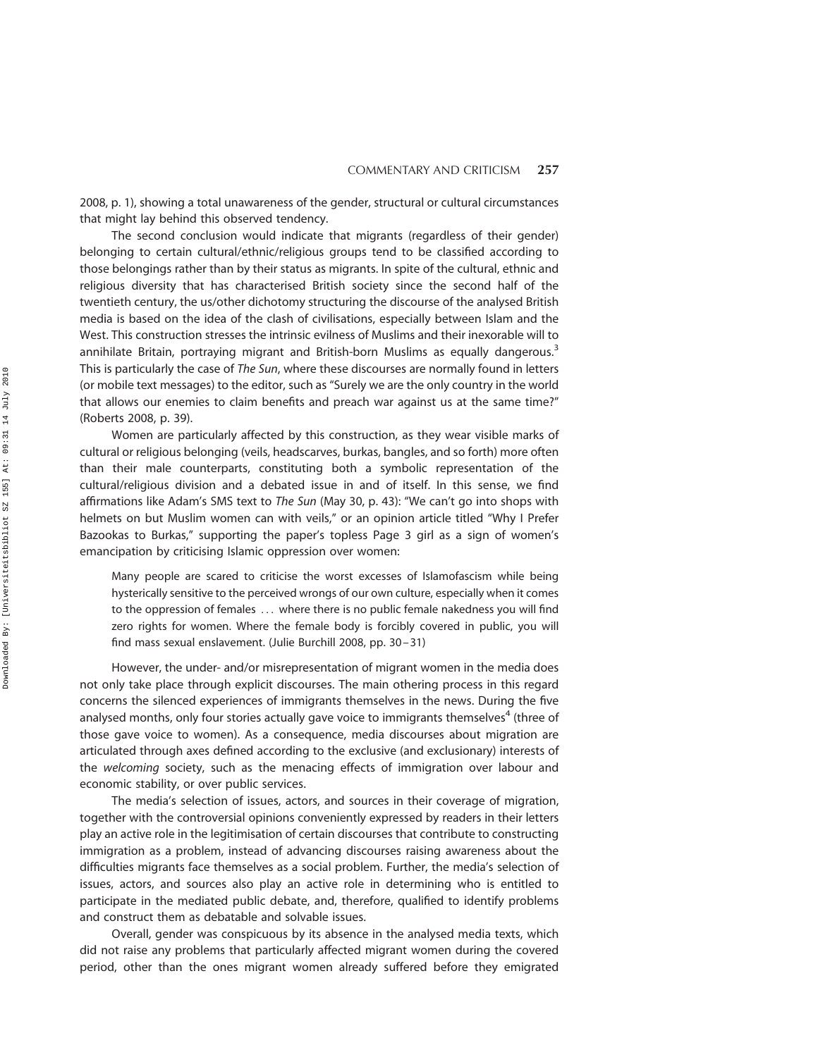2008, p. 1), showing a total unawareness of the gender, structural or cultural circumstances that might lay behind this observed tendency.

The second conclusion would indicate that migrants (regardless of their gender) belonging to certain cultural/ethnic/religious groups tend to be classified according to those belongings rather than by their status as migrants. In spite of the cultural, ethnic and religious diversity that has characterised British society since the second half of the twentieth century, the us/other dichotomy structuring the discourse of the analysed British media is based on the idea of the clash of civilisations, especially between Islam and the West. This construction stresses the intrinsic evilness of Muslims and their inexorable will to annihilate Britain, portraying migrant and British-born Muslims as equally dangerous.<sup>3</sup> This is particularly the case of The Sun, where these discourses are normally found in letters (or mobile text messages) to the editor, such as "Surely we are the only country in the world that allows our enemies to claim benefits and preach war against us at the same time?" (Roberts 2008, p. 39).

Women are particularly affected by this construction, as they wear visible marks of cultural or religious belonging (veils, headscarves, burkas, bangles, and so forth) more often than their male counterparts, constituting both a symbolic representation of the cultural/religious division and a debated issue in and of itself. In this sense, we find affirmations like Adam's SMS text to The Sun (May 30, p. 43): "We can't go into shops with helmets on but Muslim women can with veils," or an opinion article titled "Why I Prefer Bazookas to Burkas," supporting the paper's topless Page 3 girl as a sign of women's emancipation by criticising Islamic oppression over women:

Many people are scared to criticise the worst excesses of Islamofascism while being hysterically sensitive to the perceived wrongs of our own culture, especially when it comes to the oppression of females ... where there is no public female nakedness you will find zero rights for women. Where the female body is forcibly covered in public, you will find mass sexual enslavement. (Julie Burchill 2008, pp. 30 –31)

However, the under- and/or misrepresentation of migrant women in the media does not only take place through explicit discourses. The main othering process in this regard concerns the silenced experiences of immigrants themselves in the news. During the five analysed months, only four stories actually gave voice to immigrants themselves<sup>4</sup> (three of those gave voice to women). As a consequence, media discourses about migration are articulated through axes defined according to the exclusive (and exclusionary) interests of the welcoming society, such as the menacing effects of immigration over labour and economic stability, or over public services.

The media's selection of issues, actors, and sources in their coverage of migration, together with the controversial opinions conveniently expressed by readers in their letters play an active role in the legitimisation of certain discourses that contribute to constructing immigration as a problem, instead of advancing discourses raising awareness about the difficulties migrants face themselves as a social problem. Further, the media's selection of issues, actors, and sources also play an active role in determining who is entitled to participate in the mediated public debate, and, therefore, qualified to identify problems and construct them as debatable and solvable issues.

Overall, gender was conspicuous by its absence in the analysed media texts, which did not raise any problems that particularly affected migrant women during the covered period, other than the ones migrant women already suffered before they emigrated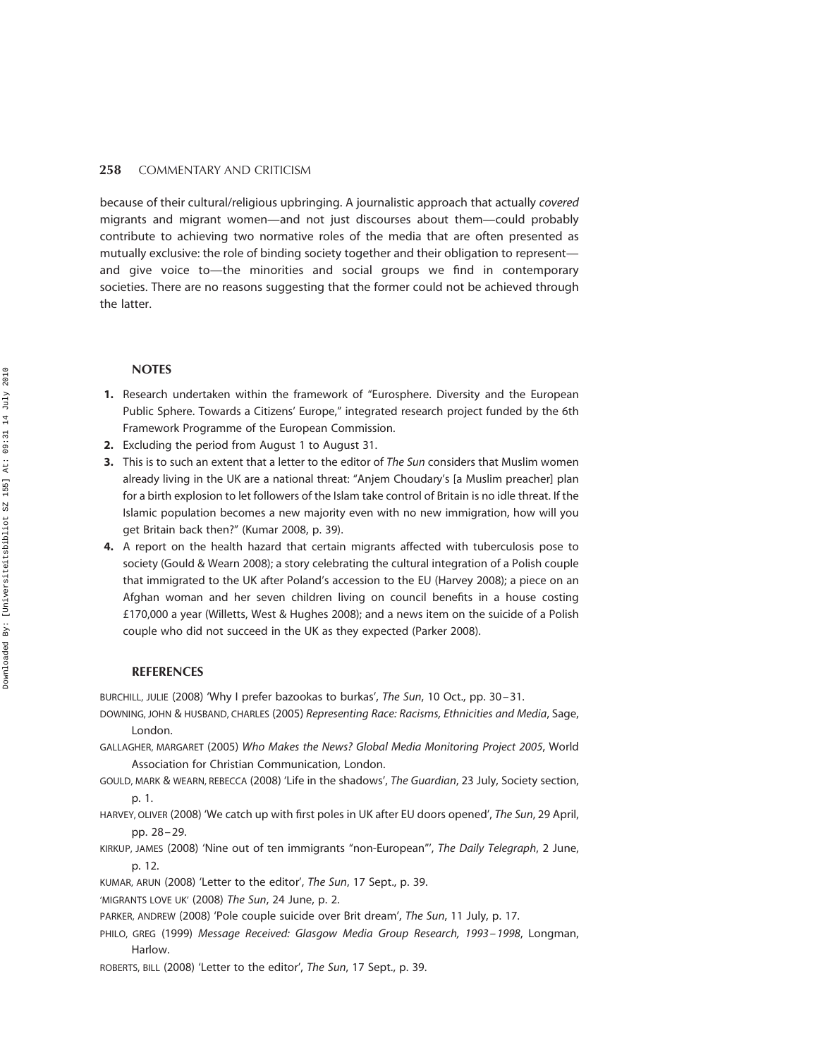because of their cultural/religious upbringing. A journalistic approach that actually covered migrants and migrant women—and not just discourses about them—could probably contribute to achieving two normative roles of the media that are often presented as mutually exclusive: the role of binding society together and their obligation to represent and give voice to—the minorities and social groups we find in contemporary societies. There are no reasons suggesting that the former could not be achieved through the latter.

# **NOTES**

- 1. Research undertaken within the framework of "Eurosphere. Diversity and the European Public Sphere. Towards a Citizens' Europe," integrated research project funded by the 6th Framework Programme of the European Commission.
- 2. Excluding the period from August 1 to August 31.
- 3. This is to such an extent that a letter to the editor of The Sun considers that Muslim women already living in the UK are a national threat: "Anjem Choudary's [a Muslim preacher] plan for a birth explosion to let followers of the Islam take control of Britain is no idle threat. If the Islamic population becomes a new majority even with no new immigration, how will you get Britain back then?" (Kumar 2008, p. 39).
- 4. A report on the health hazard that certain migrants affected with tuberculosis pose to society (Gould & Wearn 2008); a story celebrating the cultural integration of a Polish couple that immigrated to the UK after Poland's accession to the EU (Harvey 2008); a piece on an Afghan woman and her seven children living on council benefits in a house costing £170,000 a year (Willetts, West & Hughes 2008); and a news item on the suicide of a Polish couple who did not succeed in the UK as they expected (Parker 2008).

### REFERENCES

BURCHILL, JULIE (2008) 'Why I prefer bazookas to burkas', The Sun, 10 Oct., pp. 30-31.

- DOWNING, JOHN & HUSBAND, CHARLES (2005) Representing Race: Racisms, Ethnicities and Media, Sage, London.
- GALLAGHER, MARGARET (2005) Who Makes the News? Global Media Monitoring Project 2005, World Association for Christian Communication, London.
- GOULD, MARK & WEARN, REBECCA (2008) 'Life in the shadows', The Guardian, 23 July, Society section, p. 1.
- HARVEY, OLIVER (2008) 'We catch up with first poles in UK after EU doors opened', The Sun, 29 April, pp. 28–29.
- KIRKUP, JAMES (2008) 'Nine out of ten immigrants "non-European"', The Daily Telegraph, 2 June, p. 12.
- KUMAR, ARUN (2008) 'Letter to the editor', The Sun, 17 Sept., p. 39.
- 'MIGRANTS LOVE UK' (2008) The Sun, 24 June, p. 2.
- PARKER, ANDREW (2008) 'Pole couple suicide over Brit dream', The Sun, 11 July, p. 17.
- PHILO, GREG (1999) Message Received: Glasgow Media Group Research, 1993 1998, Longman, Harlow.
- ROBERTS, BILL (2008) 'Letter to the editor', The Sun, 17 Sept., p. 39.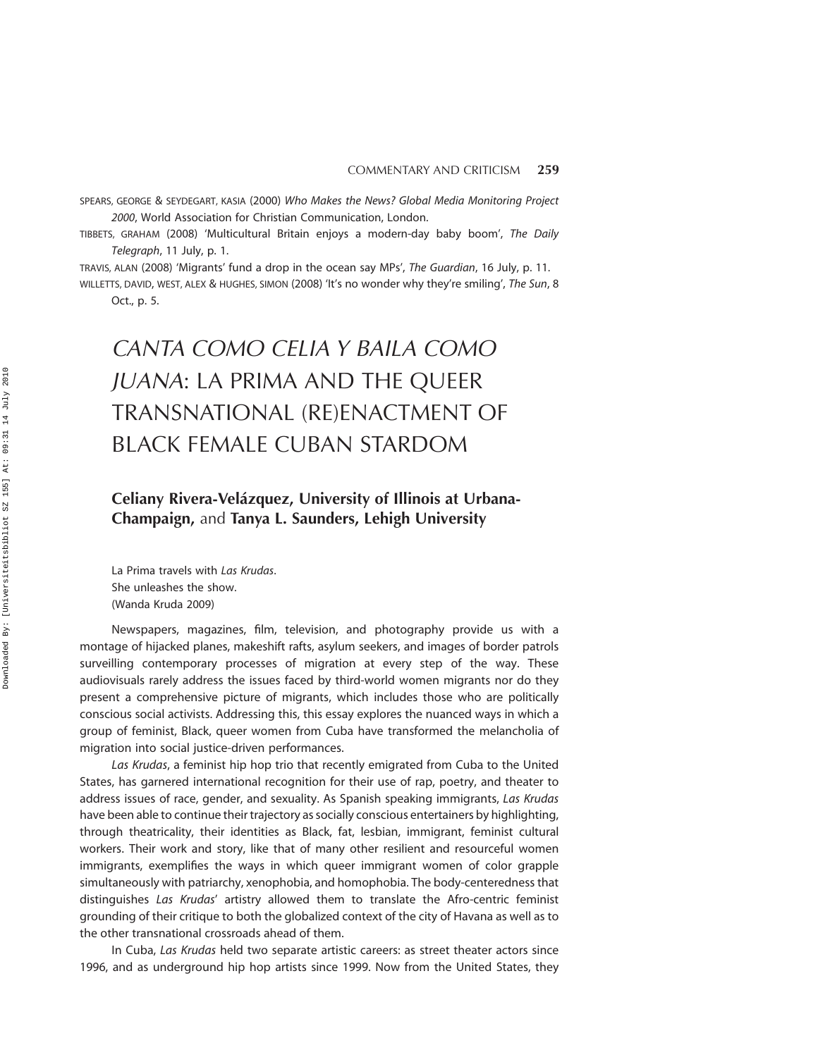SPEARS, GEORGE & SEYDEGART, KASIA (2000) Who Makes the News? Global Media Monitoring Project 2000, World Association for Christian Communication, London.

TIBBETS, GRAHAM (2008) 'Multicultural Britain enjoys a modern-day baby boom', The Daily Telegraph, 11 July, p. 1.

TRAVIS, ALAN (2008) 'Migrants' fund a drop in the ocean say MPs', The Guardian, 16 July, p. 11. WILLETTS, DAVID, WEST, ALEX & HUGHES, SIMON (2008) 'It's no wonder why they're smiling', The Sun, 8

Oct., p. 5.

# CANTA COMO CELIA Y BAILA COMO JUANA: LA PRIMA AND THE QUEER TRANSNATIONAL (RE)ENACTMENT OF BLACK FEMALE CUBAN STARDOM

# Celiany Rivera-Velázquez, University of Illinois at Urbana-Champaign, and Tanya L. Saunders, Lehigh University

La Prima travels with Las Krudas. She unleashes the show. (Wanda Kruda 2009)

Newspapers, magazines, film, television, and photography provide us with a montage of hijacked planes, makeshift rafts, asylum seekers, and images of border patrols surveilling contemporary processes of migration at every step of the way. These audiovisuals rarely address the issues faced by third-world women migrants nor do they present a comprehensive picture of migrants, which includes those who are politically conscious social activists. Addressing this, this essay explores the nuanced ways in which a group of feminist, Black, queer women from Cuba have transformed the melancholia of migration into social justice-driven performances.

Las Krudas, a feminist hip hop trio that recently emigrated from Cuba to the United States, has garnered international recognition for their use of rap, poetry, and theater to address issues of race, gender, and sexuality. As Spanish speaking immigrants, Las Krudas have been able to continue their trajectory as socially conscious entertainers by highlighting, through theatricality, their identities as Black, fat, lesbian, immigrant, feminist cultural workers. Their work and story, like that of many other resilient and resourceful women immigrants, exemplifies the ways in which queer immigrant women of color grapple simultaneously with patriarchy, xenophobia, and homophobia. The body-centeredness that distinguishes Las Krudas' artistry allowed them to translate the Afro-centric feminist grounding of their critique to both the globalized context of the city of Havana as well as to the other transnational crossroads ahead of them.

In Cuba, Las Krudas held two separate artistic careers: as street theater actors since 1996, and as underground hip hop artists since 1999. Now from the United States, they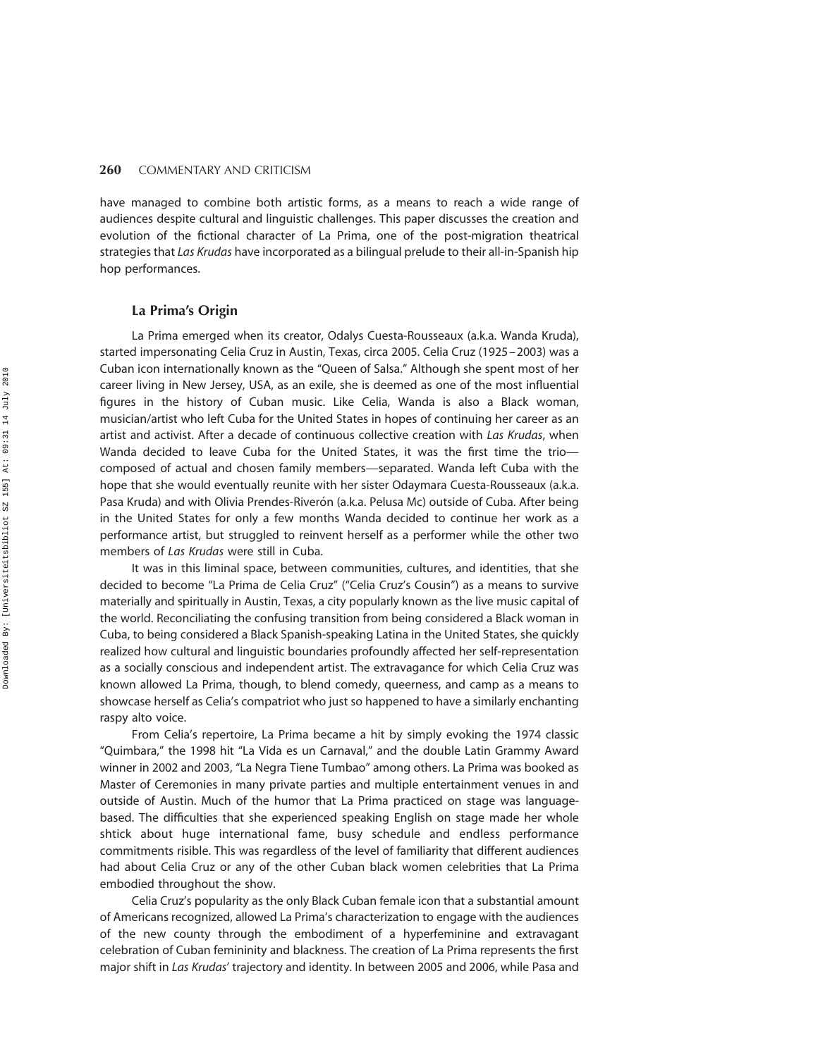have managed to combine both artistic forms, as a means to reach a wide range of audiences despite cultural and linguistic challenges. This paper discusses the creation and evolution of the fictional character of La Prima, one of the post-migration theatrical strategies that Las Krudas have incorporated as a bilingual prelude to their all-in-Spanish hip hop performances.

# La Prima's Origin

La Prima emerged when its creator, Odalys Cuesta-Rousseaux (a.k.a. Wanda Kruda), started impersonating Celia Cruz in Austin, Texas, circa 2005. Celia Cruz (1925 –2003) was a Cuban icon internationally known as the "Queen of Salsa." Although she spent most of her career living in New Jersey, USA, as an exile, she is deemed as one of the most influential figures in the history of Cuban music. Like Celia, Wanda is also a Black woman, musician/artist who left Cuba for the United States in hopes of continuing her career as an artist and activist. After a decade of continuous collective creation with Las Krudas, when Wanda decided to leave Cuba for the United States, it was the first time the trio composed of actual and chosen family members—separated. Wanda left Cuba with the hope that she would eventually reunite with her sister Odaymara Cuesta-Rousseaux (a.k.a. Pasa Kruda) and with Olivia Prendes-Riverón (a.k.a. Pelusa Mc) outside of Cuba. After being in the United States for only a few months Wanda decided to continue her work as a performance artist, but struggled to reinvent herself as a performer while the other two members of Las Krudas were still in Cuba.

It was in this liminal space, between communities, cultures, and identities, that she decided to become "La Prima de Celia Cruz" ("Celia Cruz's Cousin") as a means to survive materially and spiritually in Austin, Texas, a city popularly known as the live music capital of the world. Reconciliating the confusing transition from being considered a Black woman in Cuba, to being considered a Black Spanish-speaking Latina in the United States, she quickly realized how cultural and linguistic boundaries profoundly affected her self-representation as a socially conscious and independent artist. The extravagance for which Celia Cruz was known allowed La Prima, though, to blend comedy, queerness, and camp as a means to showcase herself as Celia's compatriot who just so happened to have a similarly enchanting raspy alto voice.

From Celia's repertoire, La Prima became a hit by simply evoking the 1974 classic "Quimbara," the 1998 hit "La Vida es un Carnaval," and the double Latin Grammy Award winner in 2002 and 2003, "La Negra Tiene Tumbao" among others. La Prima was booked as Master of Ceremonies in many private parties and multiple entertainment venues in and outside of Austin. Much of the humor that La Prima practiced on stage was languagebased. The difficulties that she experienced speaking English on stage made her whole shtick about huge international fame, busy schedule and endless performance commitments risible. This was regardless of the level of familiarity that different audiences had about Celia Cruz or any of the other Cuban black women celebrities that La Prima embodied throughout the show.

Celia Cruz's popularity as the only Black Cuban female icon that a substantial amount of Americans recognized, allowed La Prima's characterization to engage with the audiences of the new county through the embodiment of a hyperfeminine and extravagant celebration of Cuban femininity and blackness. The creation of La Prima represents the first major shift in Las Krudas' trajectory and identity. In between 2005 and 2006, while Pasa and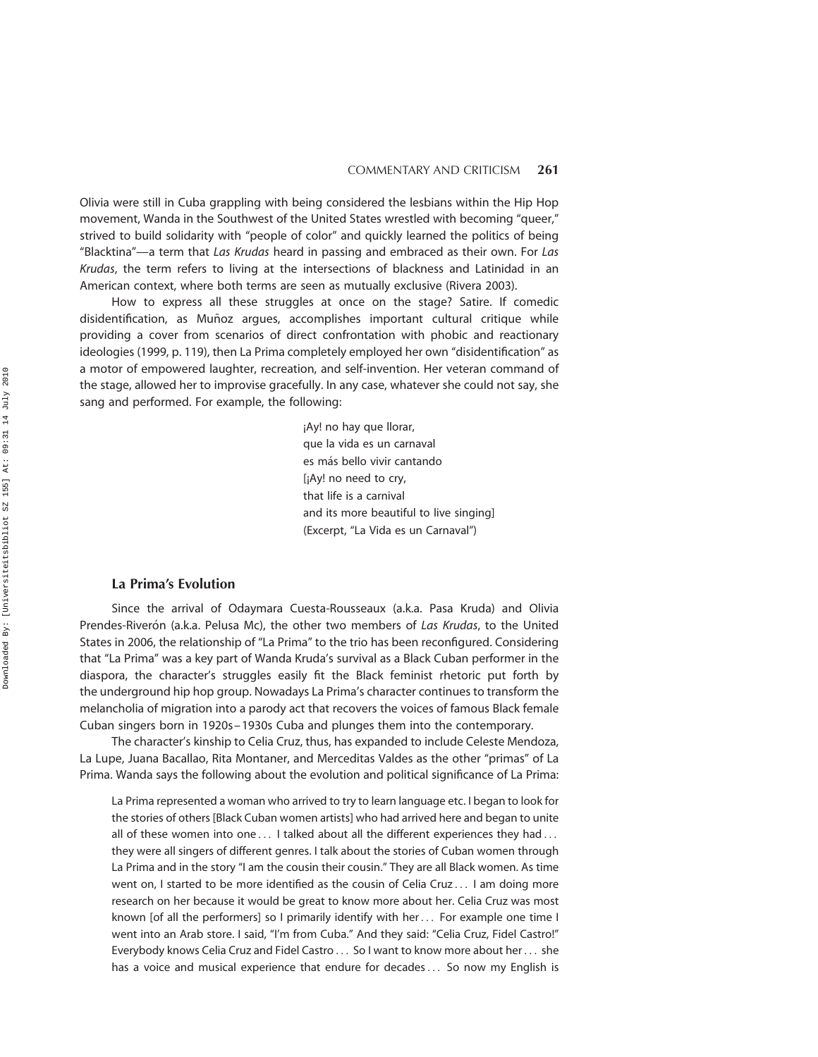Olivia were still in Cuba grappling with being considered the lesbians within the Hip Hop movement, Wanda in the Southwest of the United States wrestled with becoming "queer," strived to build solidarity with "people of color" and quickly learned the politics of being "Blacktina"—a term that Las Krudas heard in passing and embraced as their own. For Las Krudas, the term refers to living at the intersections of blackness and Latinidad in an American context, where both terms are seen as mutually exclusive (Rivera 2003).

How to express all these struggles at once on the stage? Satire. If comedic disidentification, as Muñoz argues, accomplishes important cultural critique while providing a cover from scenarios of direct confrontation with phobic and reactionary ideologies (1999, p. 119), then La Prima completely employed her own "disidentification" as a motor of empowered laughter, recreation, and self-invention. Her veteran command of the stage, allowed her to improvise gracefully. In any case, whatever she could not say, she sang and performed. For example, the following:

> ¡Ay! no hay que llorar, que la vida es un carnaval es más bello vivir cantando [¡Ay! no need to cry, that life is a carnival and its more beautiful to live singing] (Excerpt, "La Vida es un Carnaval")

# La Prima's Evolution

Since the arrival of Odaymara Cuesta-Rousseaux (a.k.a. Pasa Kruda) and Olivia Prendes-Riverón (a.k.a. Pelusa Mc), the other two members of Las Krudas, to the United States in 2006, the relationship of "La Prima" to the trio has been reconfigured. Considering that "La Prima" was a key part of Wanda Kruda's survival as a Black Cuban performer in the diaspora, the character's struggles easily fit the Black feminist rhetoric put forth by the underground hip hop group. Nowadays La Prima's character continues to transform the melancholia of migration into a parody act that recovers the voices of famous Black female Cuban singers born in 1920s–1930s Cuba and plunges them into the contemporary.

The character's kinship to Celia Cruz, thus, has expanded to include Celeste Mendoza, La Lupe, Juana Bacallao, Rita Montaner, and Merceditas Valdes as the other "primas" of La Prima. Wanda says the following about the evolution and political significance of La Prima:

La Prima represented a woman who arrived to try to learn language etc. I began to look for the stories of others [Black Cuban women artists] who had arrived here and began to unite all of these women into one ... I talked about all the different experiences they had ... they were all singers of different genres. I talk about the stories of Cuban women through La Prima and in the story "I am the cousin their cousin." They are all Black women. As time went on, I started to be more identified as the cousin of Celia Cruz ... I am doing more research on her because it would be great to know more about her. Celia Cruz was most known [of all the performers] so I primarily identify with her ... For example one time I went into an Arab store. I said, "I'm from Cuba." And they said: "Celia Cruz, Fidel Castro!" Everybody knows Celia Cruz and Fidel Castro ... So I want to know more about her ... she has a voice and musical experience that endure for decades... So now my English is